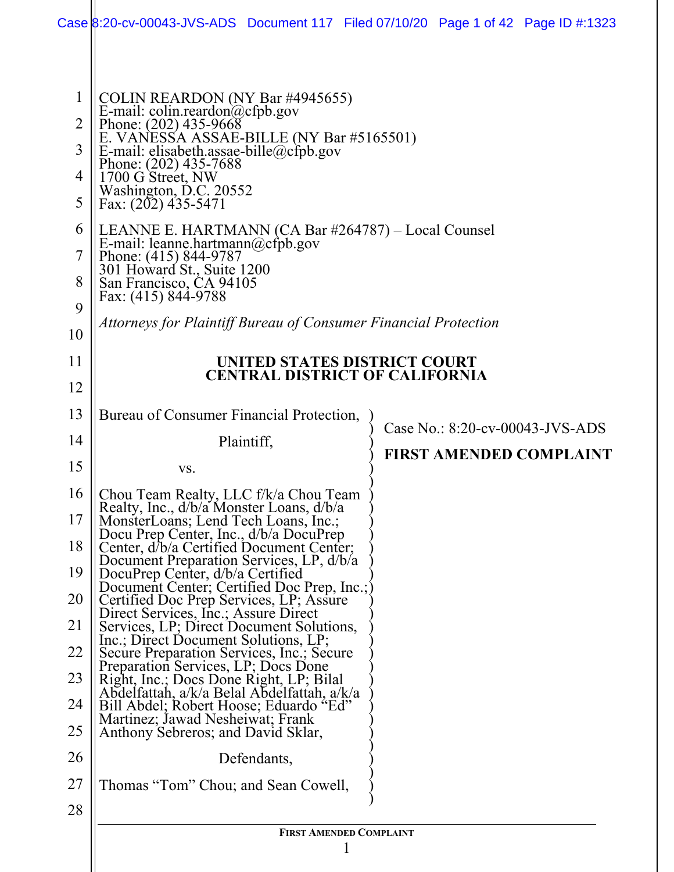|                                                                   | Case 8:20-cv-00043-JVS-ADS Document 117 Filed 07/10/20 Page 1 of 42 Page ID #:1323                                                                                                                                                                                                                                                                                                                                                                                                  |                                                                       |  |  |  |
|-------------------------------------------------------------------|-------------------------------------------------------------------------------------------------------------------------------------------------------------------------------------------------------------------------------------------------------------------------------------------------------------------------------------------------------------------------------------------------------------------------------------------------------------------------------------|-----------------------------------------------------------------------|--|--|--|
| $\mathbf{1}$<br>$\overline{2}$<br>3<br>4<br>5<br>6<br>7<br>8<br>9 | COLIN REARDON (NY Bar #4945655)<br>E-mail: colin.reardon@cfpb.gov<br>Phone: (202) 435-9668<br>E. VANESSA ASSAE-BILLE (NY Bar #5165501)<br>E-mail: elisabeth.assae-bille@cfpb.gov<br>Phone: (202) 435-7688<br>1700 G Street, NW<br>Washington, D.C. 20552<br>Fax: (202) 435-5471<br>LEANNE E. HARTMANN (CA Bar #264787) – Local Counsel<br>E-mail: leanne.hartmann@cfpb.gov<br>Phone: (415) 844-9787<br>301 Howard St., Suite 1200<br>San Francisco, CA 94105<br>Fax: (415) 844-9788 |                                                                       |  |  |  |
| 10                                                                | Attorneys for Plaintiff Bureau of Consumer Financial Protection                                                                                                                                                                                                                                                                                                                                                                                                                     |                                                                       |  |  |  |
| 11                                                                |                                                                                                                                                                                                                                                                                                                                                                                                                                                                                     | UNITED STATES DISTRICT COURT<br><b>CENTRAL DISTRICT OF CALIFORNIA</b> |  |  |  |
| 12                                                                |                                                                                                                                                                                                                                                                                                                                                                                                                                                                                     |                                                                       |  |  |  |
| 13                                                                | Bureau of Consumer Financial Protection,                                                                                                                                                                                                                                                                                                                                                                                                                                            | Case No.: 8:20-cv-00043-JVS-ADS                                       |  |  |  |
| 14                                                                | Plaintiff,                                                                                                                                                                                                                                                                                                                                                                                                                                                                          | <b>FIRST AMENDED COMPLAINT</b>                                        |  |  |  |
| 15                                                                | VS.                                                                                                                                                                                                                                                                                                                                                                                                                                                                                 |                                                                       |  |  |  |
| 16                                                                | Chou Team Realty, LLC f/k/a Chou Team<br>Realty, Inc., d/b/a Monster Loans, d/b/a                                                                                                                                                                                                                                                                                                                                                                                                   |                                                                       |  |  |  |
| 17<br>18                                                          | MonsterLoans; Lend Tech Loans, Inc.;<br>Docu Prep Center, Inc., d/b/a DocuPrep<br>Center, d/b/a Certified Document Center;                                                                                                                                                                                                                                                                                                                                                          |                                                                       |  |  |  |
| 19                                                                | Document Preparation Services, LP, d/b/a<br>DocuPrep Center, d/b/a Certified                                                                                                                                                                                                                                                                                                                                                                                                        |                                                                       |  |  |  |
| 20                                                                | Document Center; Certified Doc Prep, Inc.;<br>Certified Doc Prep Services, LP; Assure                                                                                                                                                                                                                                                                                                                                                                                               |                                                                       |  |  |  |
| 21                                                                | Direct Services, Inc.; Assure Direct<br>Services, LP; Direct Document Solutions,                                                                                                                                                                                                                                                                                                                                                                                                    |                                                                       |  |  |  |
| 22                                                                | Inc.; Direct Document Solutions, LP;<br>Secure Preparation Services, Inc.; Secure                                                                                                                                                                                                                                                                                                                                                                                                   |                                                                       |  |  |  |
| 23                                                                | Preparation Services, LP; Docs Done<br>Right, Inc.; Docs Done Right, LP; Bilal                                                                                                                                                                                                                                                                                                                                                                                                      |                                                                       |  |  |  |
| 24                                                                | Abdelfattah, a/k/a Belal Abdelfattah, a/k/a<br>Bill Abdel; Robert Hoose; Eduardo "Ed"                                                                                                                                                                                                                                                                                                                                                                                               |                                                                       |  |  |  |
| 25                                                                | Martinez; Jawad Nesheiwat; Frank<br>Anthony Sebreros; and David Sklar,                                                                                                                                                                                                                                                                                                                                                                                                              |                                                                       |  |  |  |
| 26                                                                | Defendants,                                                                                                                                                                                                                                                                                                                                                                                                                                                                         |                                                                       |  |  |  |
| 27                                                                | Thomas "Tom" Chou; and Sean Cowell,                                                                                                                                                                                                                                                                                                                                                                                                                                                 |                                                                       |  |  |  |
| 28                                                                |                                                                                                                                                                                                                                                                                                                                                                                                                                                                                     |                                                                       |  |  |  |
|                                                                   | <b>FIRST AMENDED COMPLAINT</b><br>$\mathbf{l}$                                                                                                                                                                                                                                                                                                                                                                                                                                      |                                                                       |  |  |  |
|                                                                   |                                                                                                                                                                                                                                                                                                                                                                                                                                                                                     |                                                                       |  |  |  |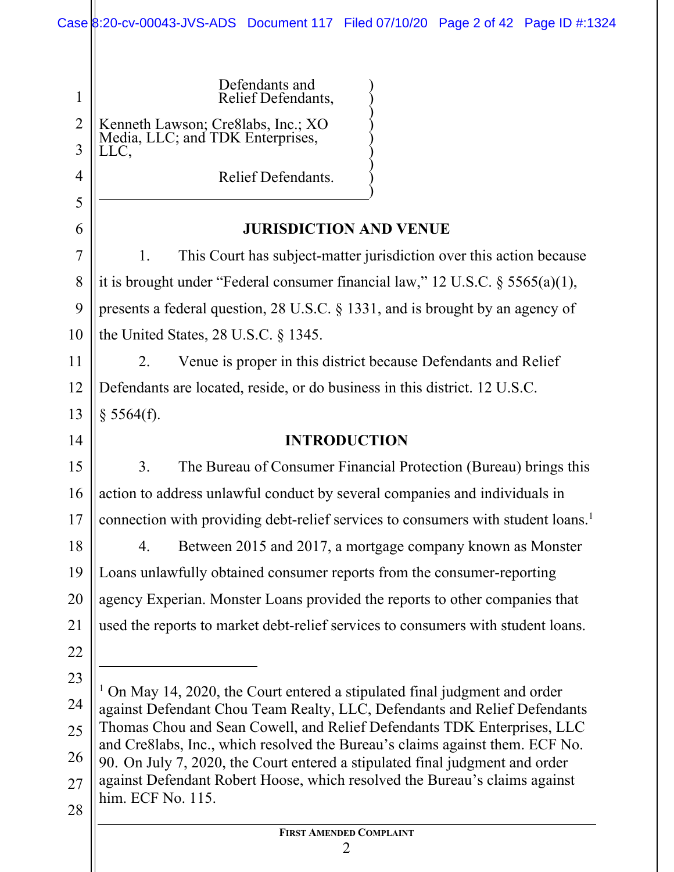|                     | Case 8:20-cv-00043-JVS-ADS Document 117 Filed 07/10/20 Page 2 of 42 Page ID #:1324                                                                           |  |  |  |
|---------------------|--------------------------------------------------------------------------------------------------------------------------------------------------------------|--|--|--|
|                     |                                                                                                                                                              |  |  |  |
| $\mathbf{1}$        | Defendants and<br>Relief Defendants,                                                                                                                         |  |  |  |
| $\overline{2}$<br>3 | Kenneth Lawson; Cre8labs, Inc.; XO<br>Media, LLC; and TDK Enterprises,<br>LLC,                                                                               |  |  |  |
| 4                   | Relief Defendants.                                                                                                                                           |  |  |  |
| 5                   |                                                                                                                                                              |  |  |  |
| 6                   | <b>JURISDICTION AND VENUE</b>                                                                                                                                |  |  |  |
| $\overline{7}$      | This Court has subject-matter jurisdiction over this action because<br>1.                                                                                    |  |  |  |
| 8                   | it is brought under "Federal consumer financial law," 12 U.S.C. $\S$ 5565(a)(1),                                                                             |  |  |  |
| 9                   | presents a federal question, 28 U.S.C. $\S$ 1331, and is brought by an agency of                                                                             |  |  |  |
| 10                  | the United States, $28$ U.S.C. $\S$ 1345.                                                                                                                    |  |  |  |
| 11                  | Venue is proper in this district because Defendants and Relief<br>2.                                                                                         |  |  |  |
| 12                  | Defendants are located, reside, or do business in this district. 12 U.S.C.                                                                                   |  |  |  |
| 13                  | § 5564(f).                                                                                                                                                   |  |  |  |
| 14                  | <b>INTRODUCTION</b>                                                                                                                                          |  |  |  |
| 15                  | 3.<br>The Bureau of Consumer Financial Protection (Bureau) brings this                                                                                       |  |  |  |
| 16                  | action to address unlawful conduct by several companies and individuals in                                                                                   |  |  |  |
| 17                  | connection with providing debt-relief services to consumers with student loans. <sup>1</sup>                                                                 |  |  |  |
| 18                  | Between 2015 and 2017, a mortgage company known as Monster<br>4.                                                                                             |  |  |  |
| 19                  | Loans unlawfully obtained consumer reports from the consumer-reporting                                                                                       |  |  |  |
| 20                  | agency Experian. Monster Loans provided the reports to other companies that                                                                                  |  |  |  |
| 21                  | used the reports to market debt-relief services to consumers with student loans.                                                                             |  |  |  |
| 22                  |                                                                                                                                                              |  |  |  |
| 23                  |                                                                                                                                                              |  |  |  |
| 24                  | On May 14, 2020, the Court entered a stipulated final judgment and order<br>against Defendant Chou Team Realty, LLC, Defendants and Relief Defendants        |  |  |  |
| 25                  | Thomas Chou and Sean Cowell, and Relief Defendants TDK Enterprises, LLC                                                                                      |  |  |  |
| 26                  | and Cre8labs, Inc., which resolved the Bureau's claims against them. ECF No.<br>90. On July 7, 2020, the Court entered a stipulated final judgment and order |  |  |  |
| 27                  | against Defendant Robert Hoose, which resolved the Bureau's claims against                                                                                   |  |  |  |
| 28                  | him. ECF No. 115.                                                                                                                                            |  |  |  |
|                     | <b>FIRST AMENDED COMPLAINT</b>                                                                                                                               |  |  |  |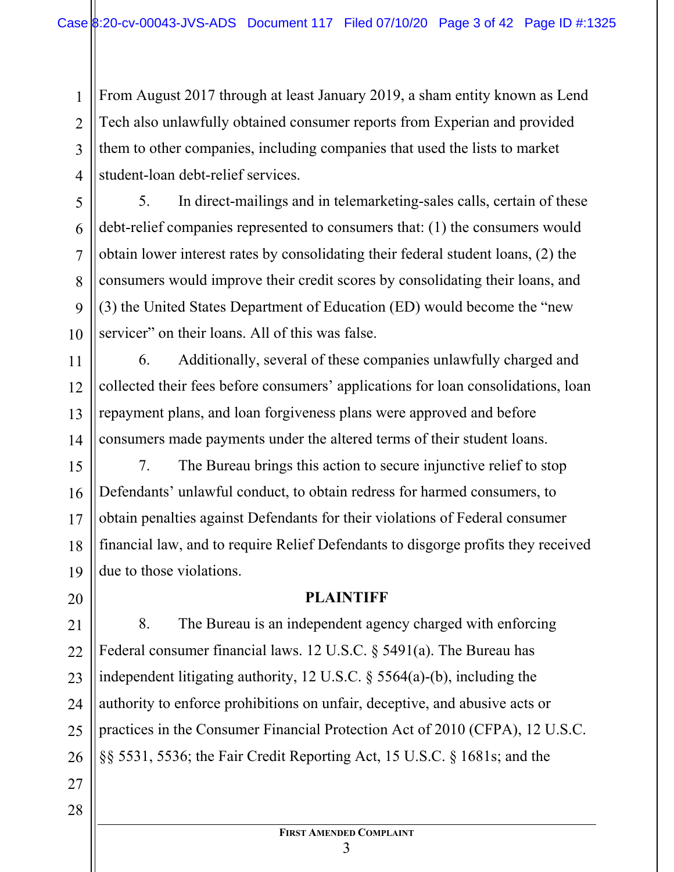From August 2017 through at least January 2019, a sham entity known as Lend Tech also unlawfully obtained consumer reports from Experian and provided them to other companies, including companies that used the lists to market student-loan debt-relief services.

1

2

3

4

5

6

7

8

9

10

11

12

13

20

21

23

27

28

5. In direct-mailings and in telemarketing-sales calls, certain of these debt-relief companies represented to consumers that: (1) the consumers would obtain lower interest rates by consolidating their federal student loans, (2) the consumers would improve their credit scores by consolidating their loans, and (3) the United States Department of Education (ED) would become the "new servicer" on their loans. All of this was false.

14 6. Additionally, several of these companies unlawfully charged and collected their fees before consumers' applications for loan consolidations, loan repayment plans, and loan forgiveness plans were approved and before consumers made payments under the altered terms of their student loans.

15 16 17 18 19 7. The Bureau brings this action to secure injunctive relief to stop Defendants' unlawful conduct, to obtain redress for harmed consumers, to obtain penalties against Defendants for their violations of Federal consumer financial law, and to require Relief Defendants to disgorge profits they received due to those violations.

## **PLAINTIFF**

22 24 25 26 8. The Bureau is an independent agency charged with enforcing Federal consumer financial laws. 12 U.S.C. § 5491(a). The Bureau has independent litigating authority, 12 U.S.C. § 5564(a)-(b), including the authority to enforce prohibitions on unfair, deceptive, and abusive acts or practices in the Consumer Financial Protection Act of 2010 (CFPA), 12 U.S.C. §§ 5531, 5536; the Fair Credit Reporting Act, 15 U.S.C. § 1681s; and the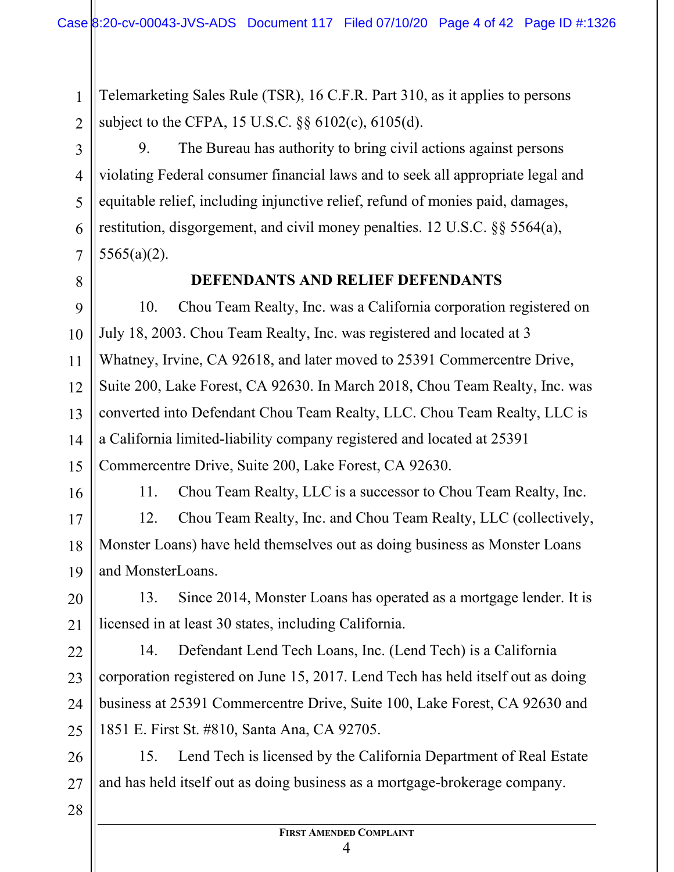Telemarketing Sales Rule (TSR), 16 C.F.R. Part 310, as it applies to persons subject to the CFPA, 15 U.S.C. §§ 6102(c), 6105(d).

9. The Bureau has authority to bring civil actions against persons violating Federal consumer financial laws and to seek all appropriate legal and equitable relief, including injunctive relief, refund of monies paid, damages, restitution, disgorgement, and civil money penalties. 12 U.S.C. §§ 5564(a), 5565(a)(2).

8

1

2

3

4

5

6

7

9

10

11

12

13

15

#### **DEFENDANTS AND RELIEF DEFENDANTS**

14 10. Chou Team Realty, Inc. was a California corporation registered on July 18, 2003. Chou Team Realty, Inc. was registered and located at 3 Whatney, Irvine, CA 92618, and later moved to 25391 Commercentre Drive, Suite 200, Lake Forest, CA 92630. In March 2018, Chou Team Realty, Inc. was converted into Defendant Chou Team Realty, LLC. Chou Team Realty, LLC is a California limited-liability company registered and located at 25391 Commercentre Drive, Suite 200, Lake Forest, CA 92630.

16

11. Chou Team Realty, LLC is a successor to Chou Team Realty, Inc.

17 18 19 12. Chou Team Realty, Inc. and Chou Team Realty, LLC (collectively, Monster Loans) have held themselves out as doing business as Monster Loans and MonsterLoans.

20 21 13. Since 2014, Monster Loans has operated as a mortgage lender. It is licensed in at least 30 states, including California.

22 23 24 25 14. Defendant Lend Tech Loans, Inc. (Lend Tech) is a California corporation registered on June 15, 2017. Lend Tech has held itself out as doing business at 25391 Commercentre Drive, Suite 100, Lake Forest, CA 92630 and 1851 E. First St. #810, Santa Ana, CA 92705.

26 27 15. Lend Tech is licensed by the California Department of Real Estate and has held itself out as doing business as a mortgage-brokerage company.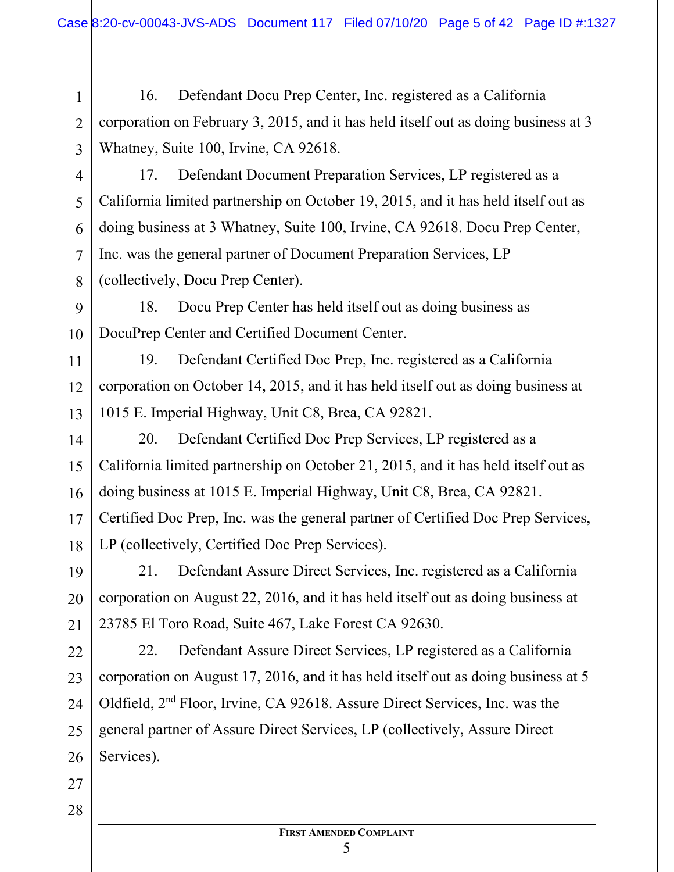16. Defendant Docu Prep Center, Inc. registered as a California corporation on February 3, 2015, and it has held itself out as doing business at 3 Whatney, Suite 100, Irvine, CA 92618.

4

1

2

3

5

6

7

8

11

12

13

14

15

16

17

18

17. Defendant Document Preparation Services, LP registered as a California limited partnership on October 19, 2015, and it has held itself out as doing business at 3 Whatney, Suite 100, Irvine, CA 92618. Docu Prep Center, Inc. was the general partner of Document Preparation Services, LP (collectively, Docu Prep Center).

9 10 18. Docu Prep Center has held itself out as doing business as DocuPrep Center and Certified Document Center.

19. Defendant Certified Doc Prep, Inc. registered as a California corporation on October 14, 2015, and it has held itself out as doing business at 1015 E. Imperial Highway, Unit C8, Brea, CA 92821.

20. Defendant Certified Doc Prep Services, LP registered as a California limited partnership on October 21, 2015, and it has held itself out as doing business at 1015 E. Imperial Highway, Unit C8, Brea, CA 92821. Certified Doc Prep, Inc. was the general partner of Certified Doc Prep Services, LP (collectively, Certified Doc Prep Services).

19 20 21 21. Defendant Assure Direct Services, Inc. registered as a California corporation on August 22, 2016, and it has held itself out as doing business at 23785 El Toro Road, Suite 467, Lake Forest CA 92630.

22 23 24 25 26 22. Defendant Assure Direct Services, LP registered as a California corporation on August 17, 2016, and it has held itself out as doing business at 5 Oldfield, 2nd Floor, Irvine, CA 92618. Assure Direct Services, Inc. was the general partner of Assure Direct Services, LP (collectively, Assure Direct Services).

27 28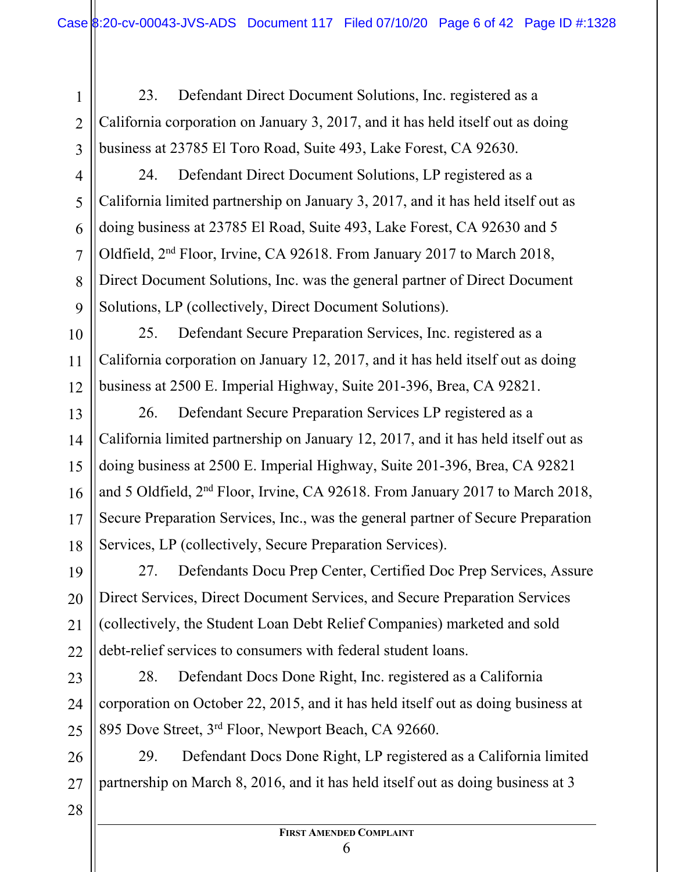23. Defendant Direct Document Solutions, Inc. registered as a California corporation on January 3, 2017, and it has held itself out as doing business at 23785 El Toro Road, Suite 493, Lake Forest, CA 92630.

4

1

2

3

5

6

7

8

9

10

11

12

13

14

15

16

17

18

24. Defendant Direct Document Solutions, LP registered as a California limited partnership on January 3, 2017, and it has held itself out as doing business at 23785 El Road, Suite 493, Lake Forest, CA 92630 and 5 Oldfield, 2nd Floor, Irvine, CA 92618. From January 2017 to March 2018, Direct Document Solutions, Inc. was the general partner of Direct Document Solutions, LP (collectively, Direct Document Solutions).

25. Defendant Secure Preparation Services, Inc. registered as a California corporation on January 12, 2017, and it has held itself out as doing business at 2500 E. Imperial Highway, Suite 201-396, Brea, CA 92821.

26. Defendant Secure Preparation Services LP registered as a California limited partnership on January 12, 2017, and it has held itself out as doing business at 2500 E. Imperial Highway, Suite 201-396, Brea, CA 92821 and 5 Oldfield, 2nd Floor, Irvine, CA 92618. From January 2017 to March 2018, Secure Preparation Services, Inc., was the general partner of Secure Preparation Services, LP (collectively, Secure Preparation Services).

19 20 21 22 27. Defendants Docu Prep Center, Certified Doc Prep Services, Assure Direct Services, Direct Document Services, and Secure Preparation Services (collectively, the Student Loan Debt Relief Companies) marketed and sold debt-relief services to consumers with federal student loans.

23 24 25 28. Defendant Docs Done Right, Inc. registered as a California corporation on October 22, 2015, and it has held itself out as doing business at 895 Dove Street, 3rd Floor, Newport Beach, CA 92660.

26 27 29. Defendant Docs Done Right, LP registered as a California limited partnership on March 8, 2016, and it has held itself out as doing business at 3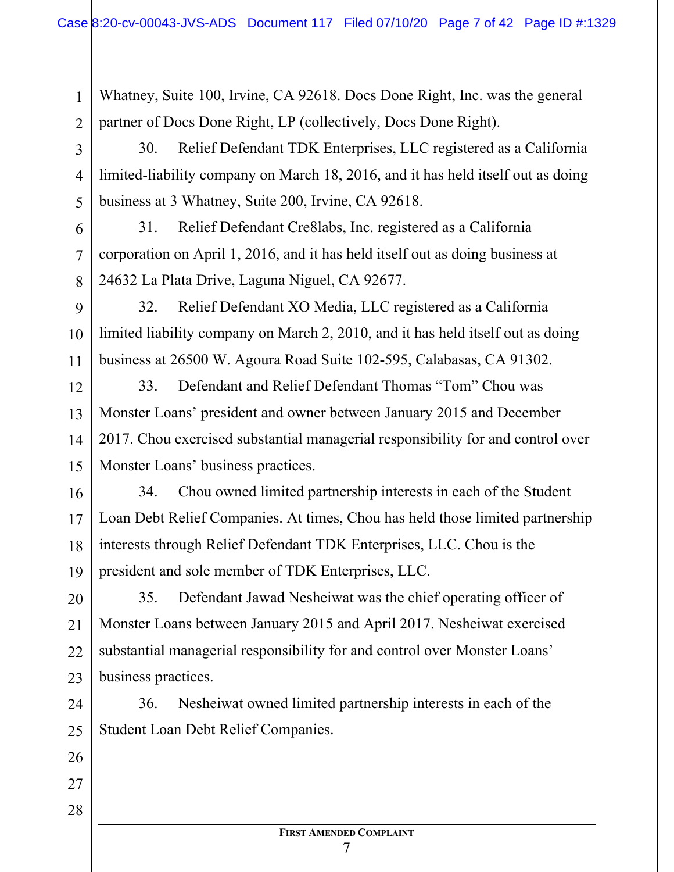Whatney, Suite 100, Irvine, CA 92618. Docs Done Right, Inc. was the general partner of Docs Done Right, LP (collectively, Docs Done Right).

30. Relief Defendant TDK Enterprises, LLC registered as a California limited-liability company on March 18, 2016, and it has held itself out as doing business at 3 Whatney, Suite 200, Irvine, CA 92618.

31. Relief Defendant Cre8labs, Inc. registered as a California corporation on April 1, 2016, and it has held itself out as doing business at 24632 La Plata Drive, Laguna Niguel, CA 92677.

9 11 32. Relief Defendant XO Media, LLC registered as a California limited liability company on March 2, 2010, and it has held itself out as doing business at 26500 W. Agoura Road Suite 102-595, Calabasas, CA 91302.

14 33. Defendant and Relief Defendant Thomas "Tom" Chou was Monster Loans' president and owner between January 2015 and December 2017. Chou exercised substantial managerial responsibility for and control over Monster Loans' business practices.

16 17 18 19 34. Chou owned limited partnership interests in each of the Student Loan Debt Relief Companies. At times, Chou has held those limited partnership interests through Relief Defendant TDK Enterprises, LLC. Chou is the president and sole member of TDK Enterprises, LLC.

20 21 22 23 35. Defendant Jawad Nesheiwat was the chief operating officer of Monster Loans between January 2015 and April 2017. Nesheiwat exercised substantial managerial responsibility for and control over Monster Loans' business practices.

24 25 36. Nesheiwat owned limited partnership interests in each of the Student Loan Debt Relief Companies.

26

27

1

2

3

4

5

6

7

8

10

12

13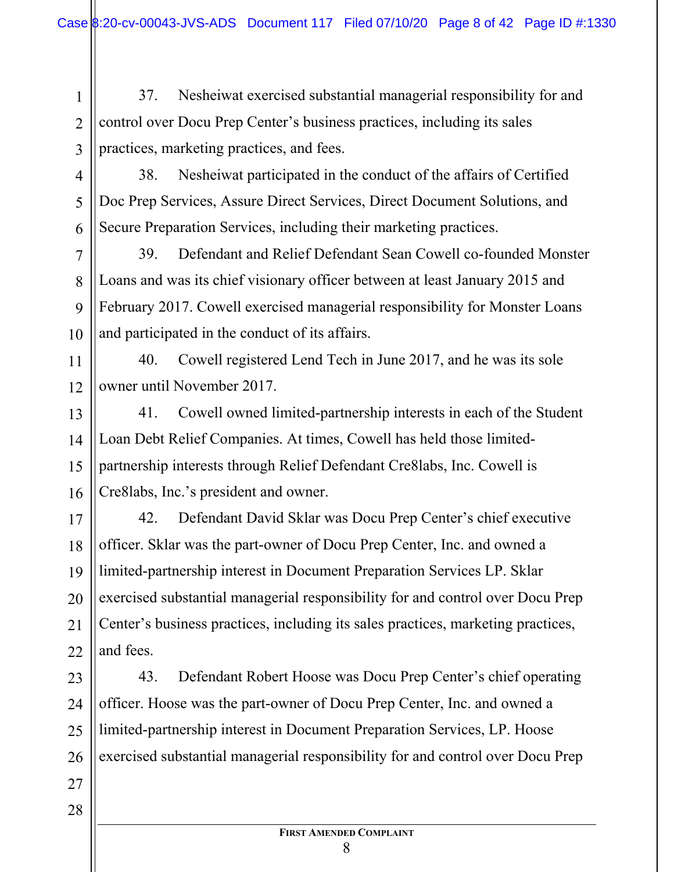37. Nesheiwat exercised substantial managerial responsibility for and control over Docu Prep Center's business practices, including its sales practices, marketing practices, and fees.

6 38. Nesheiwat participated in the conduct of the affairs of Certified Doc Prep Services, Assure Direct Services, Direct Document Solutions, and Secure Preparation Services, including their marketing practices.

10 39. Defendant and Relief Defendant Sean Cowell co-founded Monster Loans and was its chief visionary officer between at least January 2015 and February 2017. Cowell exercised managerial responsibility for Monster Loans and participated in the conduct of its affairs.

12 40. Cowell registered Lend Tech in June 2017, and he was its sole owner until November 2017.

13 14 15 16 41. Cowell owned limited-partnership interests in each of the Student Loan Debt Relief Companies. At times, Cowell has held those limitedpartnership interests through Relief Defendant Cre8labs, Inc. Cowell is Cre8labs, Inc.'s president and owner.

17 18 19 20 21 22 42. Defendant David Sklar was Docu Prep Center's chief executive officer. Sklar was the part-owner of Docu Prep Center, Inc. and owned a limited-partnership interest in Document Preparation Services LP. Sklar exercised substantial managerial responsibility for and control over Docu Prep Center's business practices, including its sales practices, marketing practices, and fees.

23 24 25 26 43. Defendant Robert Hoose was Docu Prep Center's chief operating officer. Hoose was the part-owner of Docu Prep Center, Inc. and owned a limited-partnership interest in Document Preparation Services, LP. Hoose exercised substantial managerial responsibility for and control over Docu Prep

28

27

1

2

3

4

5

7

8

9

11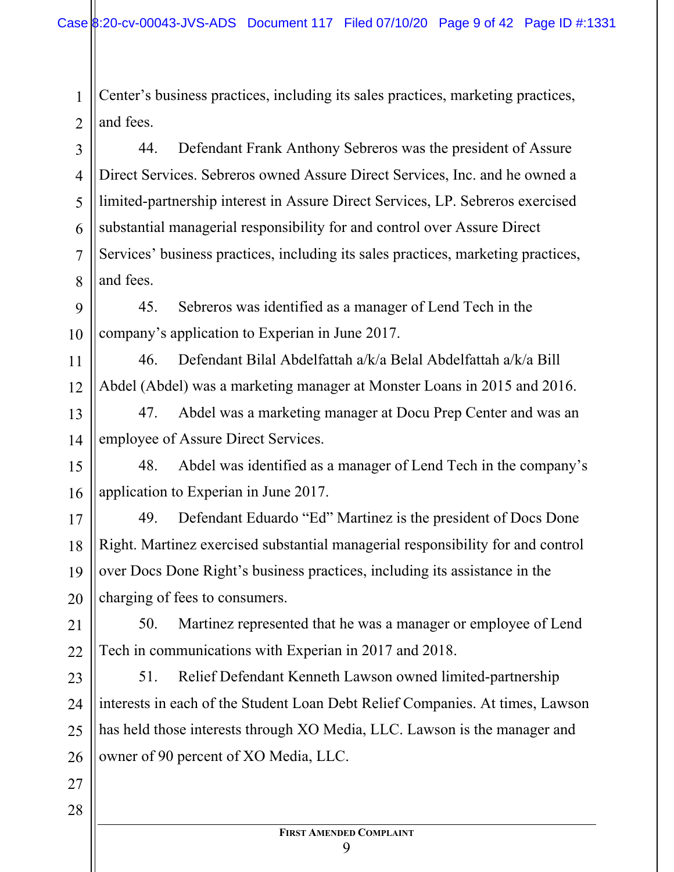Center's business practices, including its sales practices, marketing practices, and fees.

1

2

11

12

27

28

3 4 5 6 7 8 44. Defendant Frank Anthony Sebreros was the president of Assure Direct Services. Sebreros owned Assure Direct Services, Inc. and he owned a limited-partnership interest in Assure Direct Services, LP. Sebreros exercised substantial managerial responsibility for and control over Assure Direct Services' business practices, including its sales practices, marketing practices, and fees.

9 10 45. Sebreros was identified as a manager of Lend Tech in the company's application to Experian in June 2017.

46. Defendant Bilal Abdelfattah a/k/a Belal Abdelfattah a/k/a Bill Abdel (Abdel) was a marketing manager at Monster Loans in 2015 and 2016.

13 14 47. Abdel was a marketing manager at Docu Prep Center and was an employee of Assure Direct Services.

15 16 48. Abdel was identified as a manager of Lend Tech in the company's application to Experian in June 2017.

17 18 19 20 49. Defendant Eduardo "Ed" Martinez is the president of Docs Done Right. Martinez exercised substantial managerial responsibility for and control over Docs Done Right's business practices, including its assistance in the charging of fees to consumers.

21 22 50. Martinez represented that he was a manager or employee of Lend Tech in communications with Experian in 2017 and 2018.

23 24 25 26 51. Relief Defendant Kenneth Lawson owned limited-partnership interests in each of the Student Loan Debt Relief Companies. At times, Lawson has held those interests through XO Media, LLC. Lawson is the manager and owner of 90 percent of XO Media, LLC.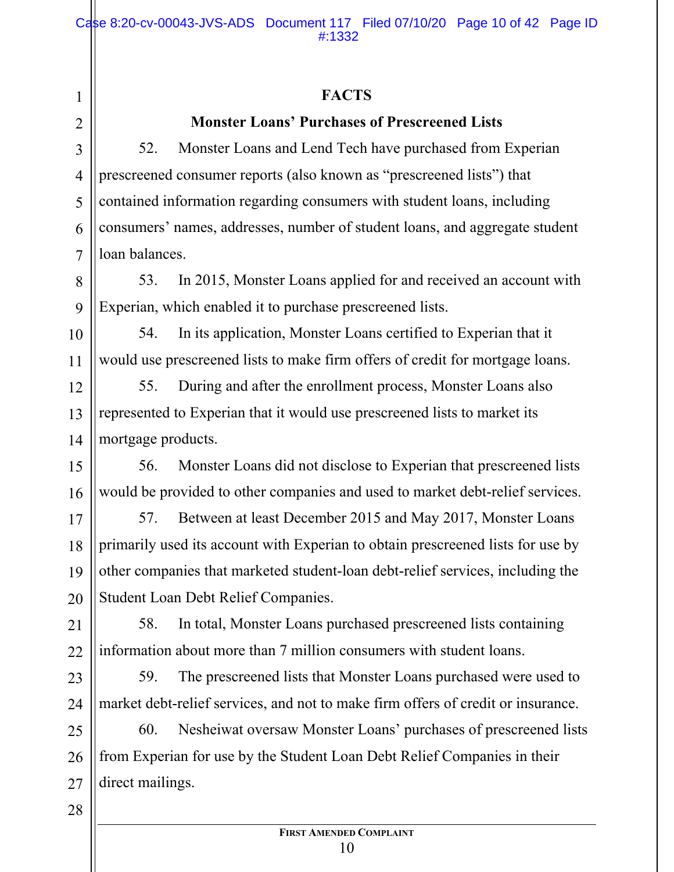## **FACTS**

## **Monster Loans' Purchases of Prescreened Lists**

52. Monster Loans and Lend Tech have purchased from Experian prescreened consumer reports (also known as "prescreened lists") that contained information regarding consumers with student loans, including consumers' names, addresses, number of student loans, and aggregate student loan balances.

53. In 2015, Monster Loans applied for and received an account with Experian, which enabled it to purchase prescreened lists.

54. In its application, Monster Loans certified to Experian that it would use prescreened lists to make firm offers of credit for mortgage loans.

55. During and after the enrollment process, Monster Loans also represented to Experian that it would use prescreened lists to market its mortgage products.

56. Monster Loans did not disclose to Experian that prescreened lists would be provided to other companies and used to market debt-relief services.

57. Between at least December 2015 and May 2017, Monster Loans primarily used its account with Experian to obtain prescreened lists for use by other companies that marketed student-loan debt-relief services, including the Student Loan Debt Relief Companies.

58. In total, Monster Loans purchased prescreened lists containing information about more than 7 million consumers with student loans.

59. The prescreened lists that Monster Loans purchased were used to market debt-relief services, and not to make firm offers of credit or insurance.

60. Nesheiwat oversaw Monster Loans' purchases of prescreened lists from Experian for use by the Student Loan Debt Relief Companies in their direct mailings.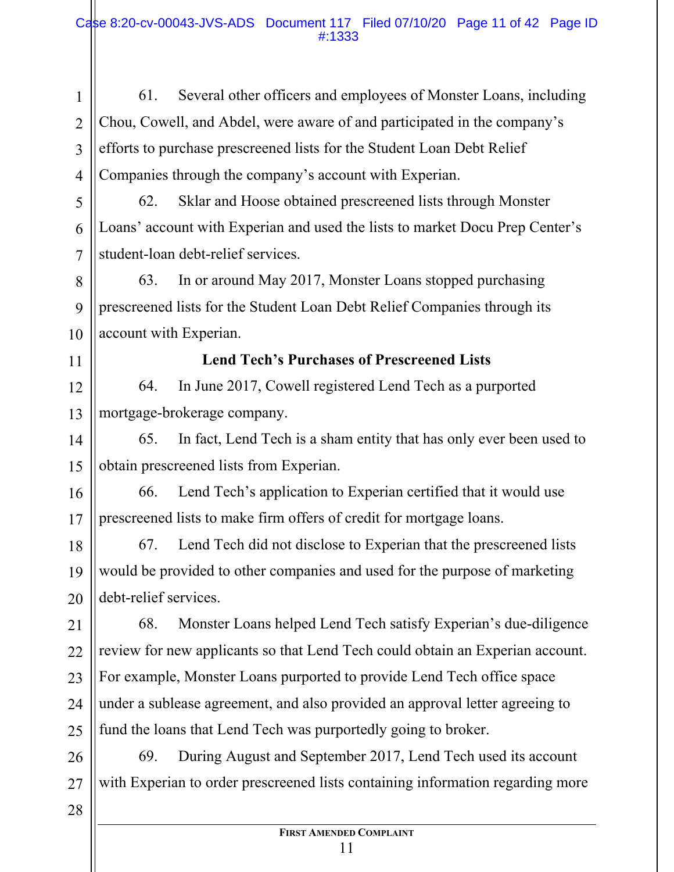2 3 4 61. Several other officers and employees of Monster Loans, including Chou, Cowell, and Abdel, were aware of and participated in the company's efforts to purchase prescreened lists for the Student Loan Debt Relief Companies through the company's account with Experian.

62. Sklar and Hoose obtained prescreened lists through Monster Loans' account with Experian and used the lists to market Docu Prep Center's student-loan debt-relief services.

63. In or around May 2017, Monster Loans stopped purchasing prescreened lists for the Student Loan Debt Relief Companies through its account with Experian.

#### 11

12

13

14

15

10

1

5

6

7

8

9

#### **Lend Tech's Purchases of Prescreened Lists**

64. In June 2017, Cowell registered Lend Tech as a purported mortgage-brokerage company.

65. In fact, Lend Tech is a sham entity that has only ever been used to obtain prescreened lists from Experian.

16 17 66. Lend Tech's application to Experian certified that it would use prescreened lists to make firm offers of credit for mortgage loans.

18 19 20 67. Lend Tech did not disclose to Experian that the prescreened lists would be provided to other companies and used for the purpose of marketing debt-relief services.

21 22 23 24 25 68. Monster Loans helped Lend Tech satisfy Experian's due-diligence review for new applicants so that Lend Tech could obtain an Experian account. For example, Monster Loans purported to provide Lend Tech office space under a sublease agreement, and also provided an approval letter agreeing to fund the loans that Lend Tech was purportedly going to broker.

26 27 69. During August and September 2017, Lend Tech used its account with Experian to order prescreened lists containing information regarding more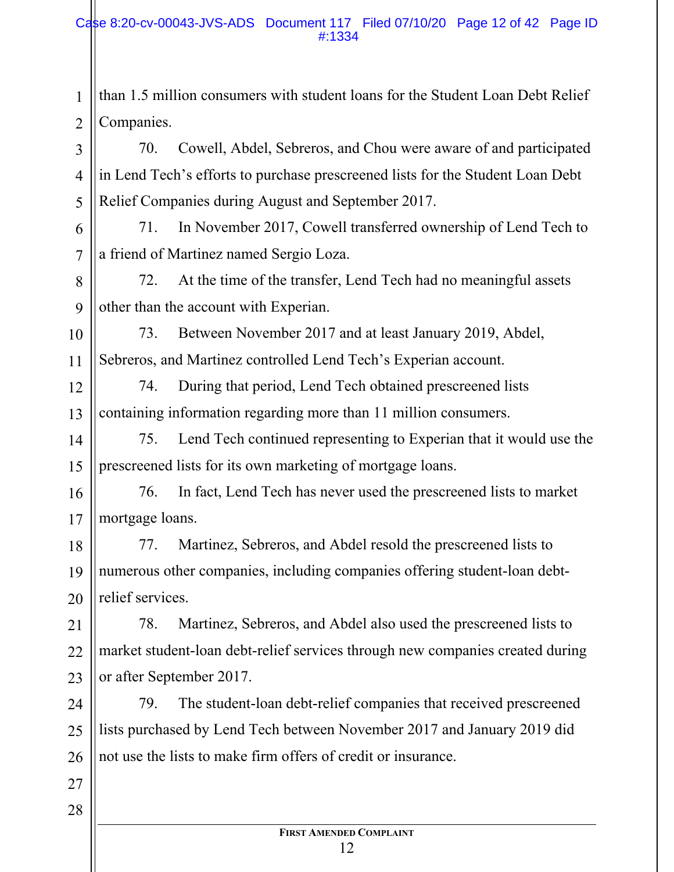2 than 1.5 million consumers with student loans for the Student Loan Debt Relief Companies.

70. Cowell, Abdel, Sebreros, and Chou were aware of and participated in Lend Tech's efforts to purchase prescreened lists for the Student Loan Debt Relief Companies during August and September 2017.

71. In November 2017, Cowell transferred ownership of Lend Tech to a friend of Martinez named Sergio Loza.

72. At the time of the transfer, Lend Tech had no meaningful assets other than the account with Experian.

10 11 73. Between November 2017 and at least January 2019, Abdel, Sebreros, and Martinez controlled Lend Tech's Experian account.

12 13 74. During that period, Lend Tech obtained prescreened lists containing information regarding more than 11 million consumers.

14 15 75. Lend Tech continued representing to Experian that it would use the prescreened lists for its own marketing of mortgage loans.

16 17 76. In fact, Lend Tech has never used the prescreened lists to market mortgage loans.

18 19 20 77. Martinez, Sebreros, and Abdel resold the prescreened lists to numerous other companies, including companies offering student-loan debtrelief services.

21 22 23 78. Martinez, Sebreros, and Abdel also used the prescreened lists to market student-loan debt-relief services through new companies created during or after September 2017.

24 25 26 79. The student-loan debt-relief companies that received prescreened lists purchased by Lend Tech between November 2017 and January 2019 did not use the lists to make firm offers of credit or insurance.

28

27

1

3

4

5

6

7

8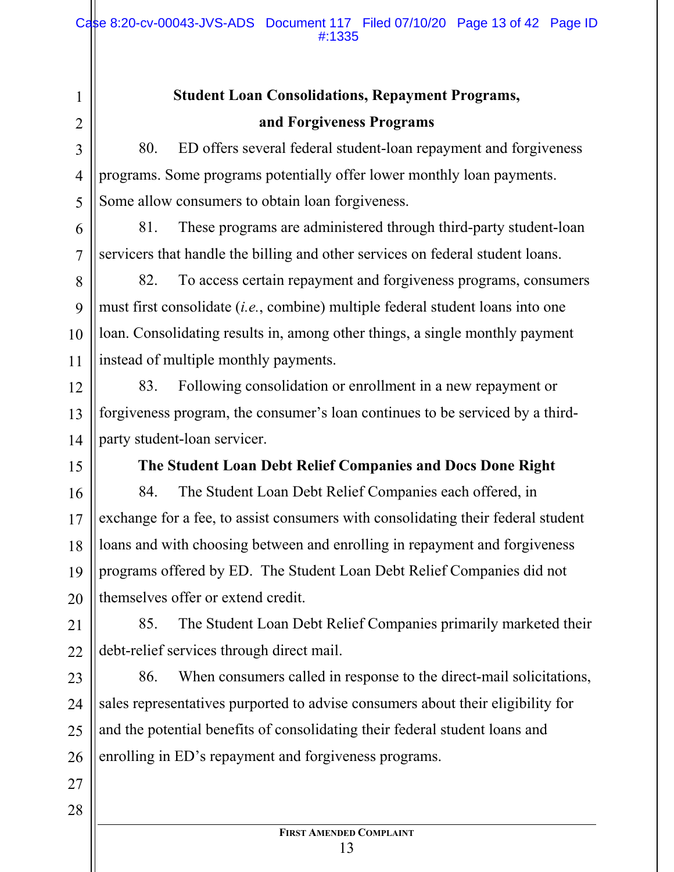#### Case 8:20-cv-00043-JVS-ADS Document 117 Filed 07/10/20 Page 13 of 42 Page ID #:1335

## **Student Loan Consolidations, Repayment Programs, and Forgiveness Programs**

80. ED offers several federal student-loan repayment and forgiveness programs. Some programs potentially offer lower monthly loan payments. Some allow consumers to obtain loan forgiveness.

81. These programs are administered through third-party student-loan servicers that handle the billing and other services on federal student loans.

82. To access certain repayment and forgiveness programs, consumers must first consolidate (*i.e.*, combine) multiple federal student loans into one loan. Consolidating results in, among other things, a single monthly payment instead of multiple monthly payments.

83. Following consolidation or enrollment in a new repayment or forgiveness program, the consumer's loan continues to be serviced by a thirdparty student-loan servicer.

**The Student Loan Debt Relief Companies and Docs Done Right**

84. The Student Loan Debt Relief Companies each offered, in exchange for a fee, to assist consumers with consolidating their federal student loans and with choosing between and enrolling in repayment and forgiveness programs offered by ED. The Student Loan Debt Relief Companies did not themselves offer or extend credit.

21 22 85. The Student Loan Debt Relief Companies primarily marketed their debt-relief services through direct mail.

23 24 25 26 86. When consumers called in response to the direct-mail solicitations, sales representatives purported to advise consumers about their eligibility for and the potential benefits of consolidating their federal student loans and enrolling in ED's repayment and forgiveness programs.

27

1

2

3

4

5

6

7

8

9

10

11

12

13

14

15

16

17

18

19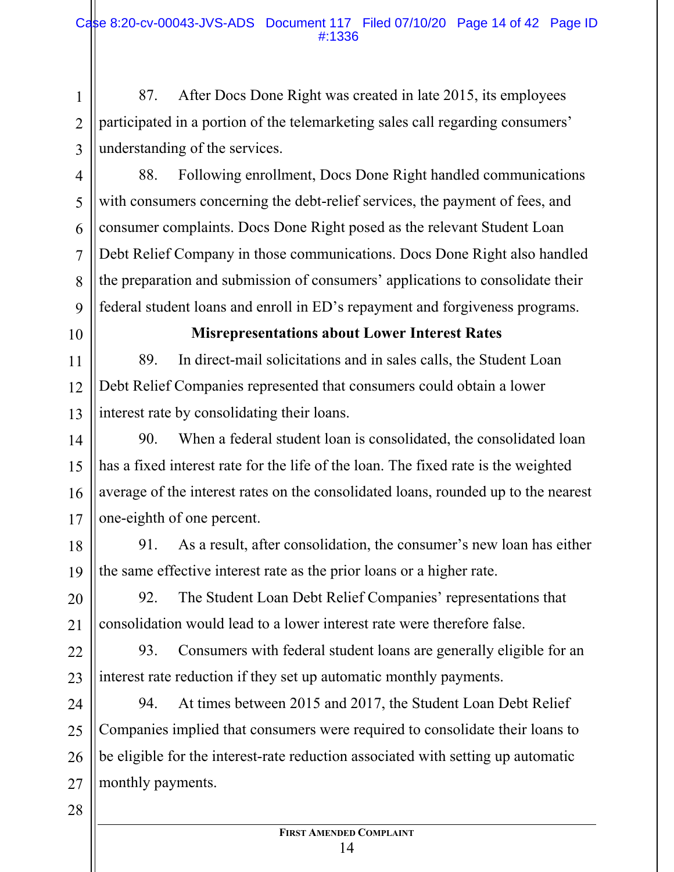87. After Docs Done Right was created in late 2015, its employees participated in a portion of the telemarketing sales call regarding consumers' understanding of the services.

88. Following enrollment, Docs Done Right handled communications with consumers concerning the debt-relief services, the payment of fees, and consumer complaints. Docs Done Right posed as the relevant Student Loan Debt Relief Company in those communications. Docs Done Right also handled the preparation and submission of consumers' applications to consolidate their federal student loans and enroll in ED's repayment and forgiveness programs.

10

11

12

13

14

15

16

17

20

21

23

1

2

3

4

5

6

7

8

9

## **Misrepresentations about Lower Interest Rates**

89. In direct-mail solicitations and in sales calls, the Student Loan Debt Relief Companies represented that consumers could obtain a lower interest rate by consolidating their loans.

90. When a federal student loan is consolidated, the consolidated loan has a fixed interest rate for the life of the loan. The fixed rate is the weighted average of the interest rates on the consolidated loans, rounded up to the nearest one-eighth of one percent.

18 19 91. As a result, after consolidation, the consumer's new loan has either the same effective interest rate as the prior loans or a higher rate.

92. The Student Loan Debt Relief Companies' representations that consolidation would lead to a lower interest rate were therefore false.

22 93. Consumers with federal student loans are generally eligible for an interest rate reduction if they set up automatic monthly payments.

24 25 26 27 94. At times between 2015 and 2017, the Student Loan Debt Relief Companies implied that consumers were required to consolidate their loans to be eligible for the interest-rate reduction associated with setting up automatic monthly payments.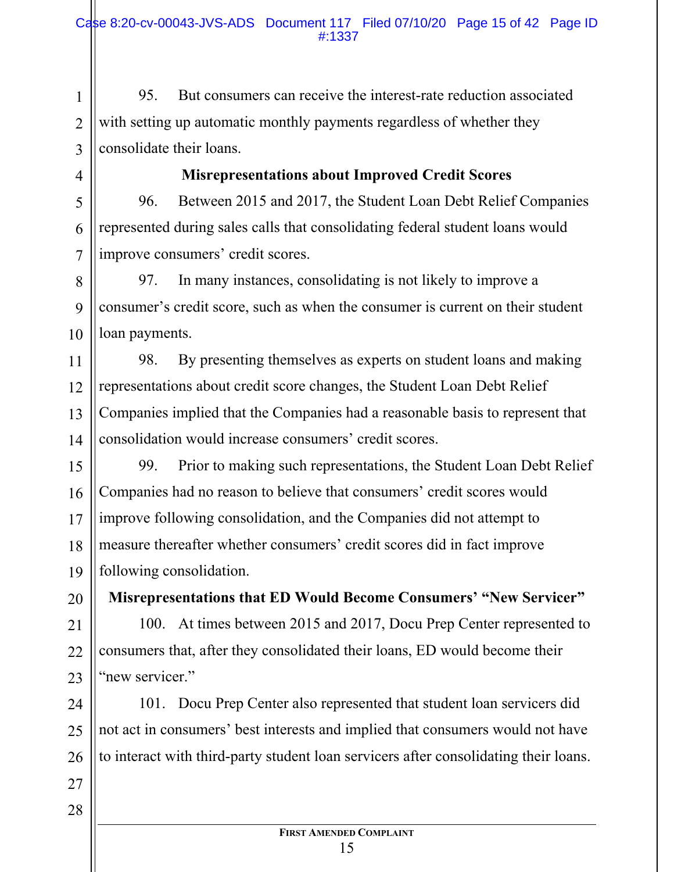95. But consumers can receive the interest-rate reduction associated with setting up automatic monthly payments regardless of whether they consolidate their loans.

**Misrepresentations about Improved Credit Scores**

96. Between 2015 and 2017, the Student Loan Debt Relief Companies represented during sales calls that consolidating federal student loans would improve consumers' credit scores.

8 10 97. In many instances, consolidating is not likely to improve a consumer's credit score, such as when the consumer is current on their student loan payments.

11 12 13 14 98. By presenting themselves as experts on student loans and making representations about credit score changes, the Student Loan Debt Relief Companies implied that the Companies had a reasonable basis to represent that consolidation would increase consumers' credit scores.

15 16 17 18 19 99. Prior to making such representations, the Student Loan Debt Relief Companies had no reason to believe that consumers' credit scores would improve following consolidation, and the Companies did not attempt to measure thereafter whether consumers' credit scores did in fact improve following consolidation.

**Misrepresentations that ED Would Become Consumers' "New Servicer"** 

21 22 23 100. At times between 2015 and 2017, Docu Prep Center represented to consumers that, after they consolidated their loans, ED would become their "new servicer."

24 25 26 101. Docu Prep Center also represented that student loan servicers did not act in consumers' best interests and implied that consumers would not have to interact with third-party student loan servicers after consolidating their loans.

27 28

20

1

2

3

4

5

6

7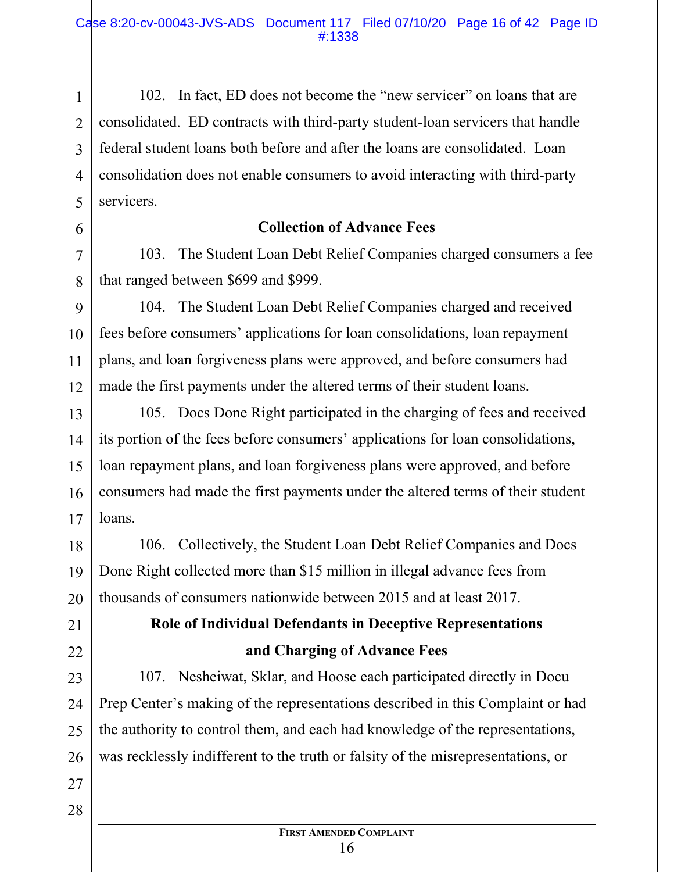3 4 5 102. In fact, ED does not become the "new servicer" on loans that are consolidated. ED contracts with third-party student-loan servicers that handle federal student loans both before and after the loans are consolidated. Loan consolidation does not enable consumers to avoid interacting with third-party servicers.

#### **Collection of Advance Fees**

103. The Student Loan Debt Relief Companies charged consumers a fee that ranged between \$699 and \$999.

104. The Student Loan Debt Relief Companies charged and received fees before consumers' applications for loan consolidations, loan repayment plans, and loan forgiveness plans were approved, and before consumers had made the first payments under the altered terms of their student loans.

13 14 15 16 17 105. Docs Done Right participated in the charging of fees and received its portion of the fees before consumers' applications for loan consolidations, loan repayment plans, and loan forgiveness plans were approved, and before consumers had made the first payments under the altered terms of their student loans.

106. Collectively, the Student Loan Debt Relief Companies and Docs Done Right collected more than \$15 million in illegal advance fees from thousands of consumers nationwide between 2015 and at least 2017.

## **Role of Individual Defendants in Deceptive Representations and Charging of Advance Fees**

107. Nesheiwat, Sklar, and Hoose each participated directly in Docu Prep Center's making of the representations described in this Complaint or had the authority to control them, and each had knowledge of the representations, was recklessly indifferent to the truth or falsity of the misrepresentations, or

28

1

2

6

7

8

9

10

11

12

18

19

20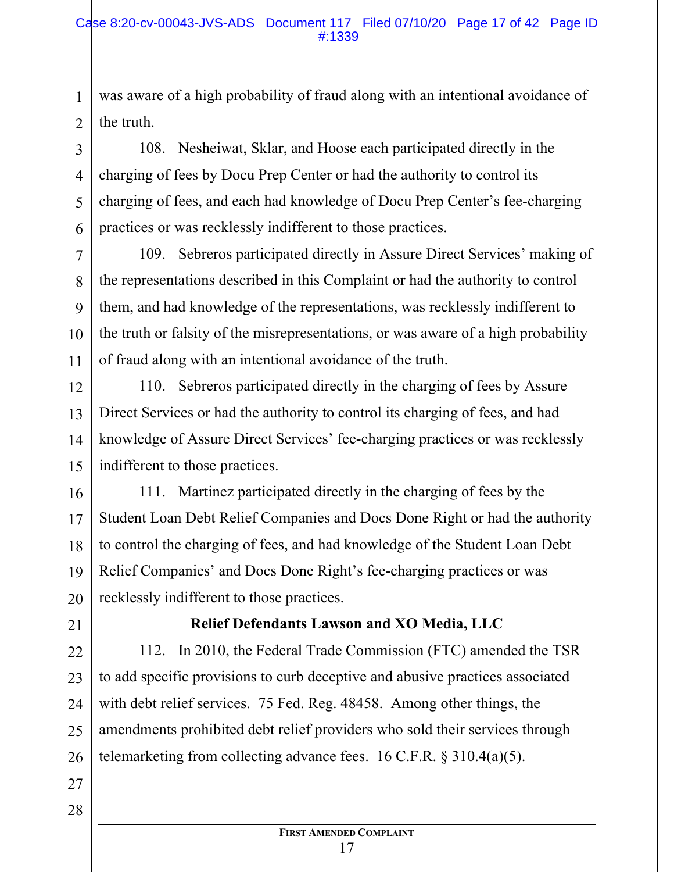was aware of a high probability of fraud along with an intentional avoidance of the truth.

108. Nesheiwat, Sklar, and Hoose each participated directly in the charging of fees by Docu Prep Center or had the authority to control its charging of fees, and each had knowledge of Docu Prep Center's fee-charging practices or was recklessly indifferent to those practices.

109. Sebreros participated directly in Assure Direct Services' making of the representations described in this Complaint or had the authority to control them, and had knowledge of the representations, was recklessly indifferent to the truth or falsity of the misrepresentations, or was aware of a high probability of fraud along with an intentional avoidance of the truth.

110. Sebreros participated directly in the charging of fees by Assure Direct Services or had the authority to control its charging of fees, and had knowledge of Assure Direct Services' fee-charging practices or was recklessly indifferent to those practices.

111. Martinez participated directly in the charging of fees by the Student Loan Debt Relief Companies and Docs Done Right or had the authority to control the charging of fees, and had knowledge of the Student Loan Debt Relief Companies' and Docs Done Right's fee-charging practices or was recklessly indifferent to those practices.

21

1

2

3

4

5

6

7

8

9

10

11

12

13

14

15

16

17

18

19

20

22

23

24

25

26

27

28

## **Relief Defendants Lawson and XO Media, LLC**

112. In 2010, the Federal Trade Commission (FTC) amended the TSR to add specific provisions to curb deceptive and abusive practices associated with debt relief services. 75 Fed. Reg. 48458. Among other things, the amendments prohibited debt relief providers who sold their services through telemarketing from collecting advance fees. 16 C.F.R. § 310.4(a)(5).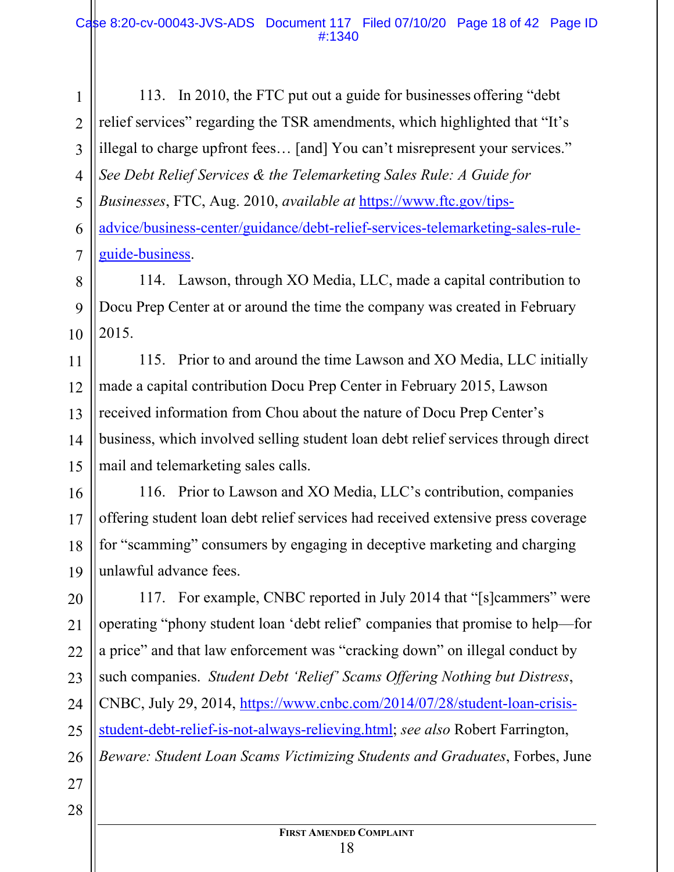1 2 3 4 5 113. In 2010, the FTC put out a guide for businesses offering "debt relief services" regarding the TSR amendments, which highlighted that "It's illegal to charge upfront fees… [and] You can't misrepresent your services." *See Debt Relief Services & the Telemarketing Sales Rule: A Guide for Businesses*, FTC, Aug. 2010, *available at* https://www.ftc.gov/tipsadvice/business-center/guidance/debt-relief-services-telemarketing-sales-ruleguide-business.

114. Lawson, through XO Media, LLC, made a capital contribution to Docu Prep Center at or around the time the company was created in February 2015.

115. Prior to and around the time Lawson and XO Media, LLC initially made a capital contribution Docu Prep Center in February 2015, Lawson received information from Chou about the nature of Docu Prep Center's business, which involved selling student loan debt relief services through direct mail and telemarketing sales calls.

116. Prior to Lawson and XO Media, LLC's contribution, companies offering student loan debt relief services had received extensive press coverage for "scamming" consumers by engaging in deceptive marketing and charging unlawful advance fees.

117. For example, CNBC reported in July 2014 that "[s]cammers" were operating "phony student loan 'debt relief' companies that promise to help—for a price" and that law enforcement was "cracking down" on illegal conduct by such companies. *Student Debt 'Relief' Scams Offering Nothing but Distress*, CNBC, July 29, 2014, https://www.cnbc.com/2014/07/28/student-loan-crisisstudent-debt-relief-is-not-always-relieving.html; *see also* Robert Farrington, *Beware: Student Loan Scams Victimizing Students and Graduates*, Forbes, June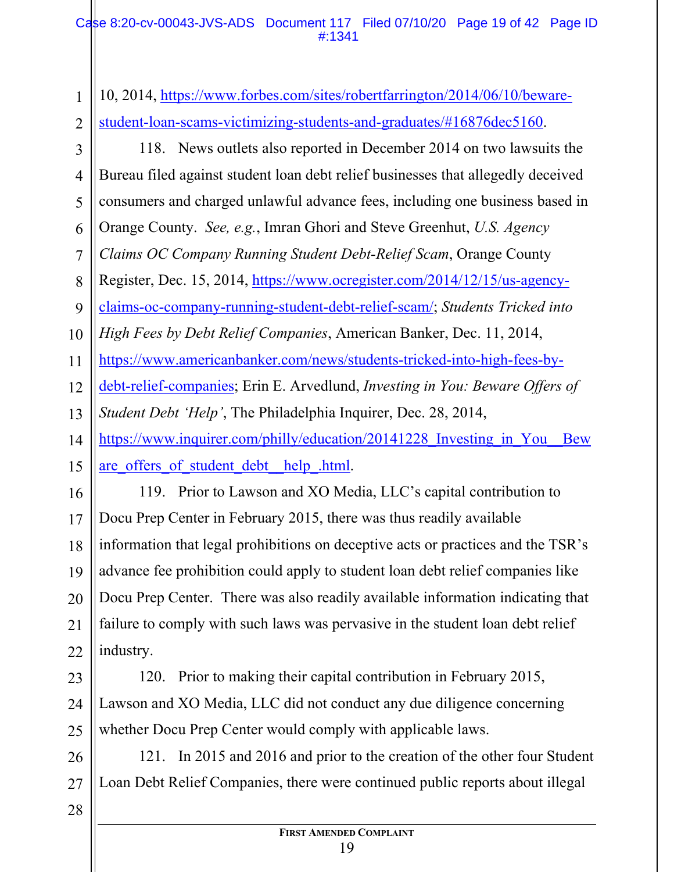1 2 3 4 5 6 7 8 9 10 11 12 13 14 15 16 17 18 19 20 21 22 23 10, 2014, https://www.forbes.com/sites/robertfarrington/2014/06/10/bewarestudent-loan-scams-victimizing-students-and-graduates/#16876dec5160. 118. News outlets also reported in December 2014 on two lawsuits the Bureau filed against student loan debt relief businesses that allegedly deceived consumers and charged unlawful advance fees, including one business based in Orange County. *See, e.g.*, Imran Ghori and Steve Greenhut, *U.S. Agency Claims OC Company Running Student Debt-Relief Scam*, Orange County Register, Dec. 15, 2014, https://www.ocregister.com/2014/12/15/us-agencyclaims-oc-company-running-student-debt-relief-scam/; *Students Tricked into High Fees by Debt Relief Companies*, American Banker, Dec. 11, 2014, https://www.americanbanker.com/news/students-tricked-into-high-fees-bydebt-relief-companies; Erin E. Arvedlund, *Investing in You: Beware Offers of Student Debt 'Help'*, The Philadelphia Inquirer, Dec. 28, 2014, https://www.inquirer.com/philly/education/20141228 Investing in You Bew are offers of student debt help .html. 119. Prior to Lawson and XO Media, LLC's capital contribution to Docu Prep Center in February 2015, there was thus readily available information that legal prohibitions on deceptive acts or practices and the TSR's advance fee prohibition could apply to student loan debt relief companies like Docu Prep Center. There was also readily available information indicating that failure to comply with such laws was pervasive in the student loan debt relief industry. 120. Prior to making their capital contribution in February 2015,

24 25 Lawson and XO Media, LLC did not conduct any due diligence concerning whether Docu Prep Center would comply with applicable laws.

121. In 2015 and 2016 and prior to the creation of the other four Student Loan Debt Relief Companies, there were continued public reports about illegal

28

26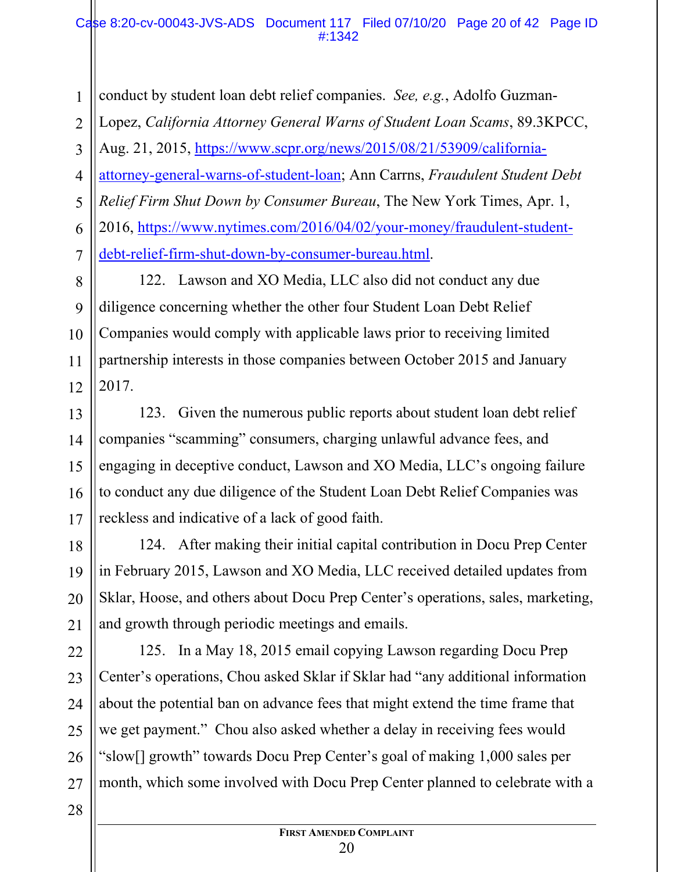#### Case 8:20-cv-00043-JVS-ADS Document 117 Filed 07/10/20 Page 20 of 42 Page ID #:1342

1 2 3 4 5 6 7 conduct by student loan debt relief companies. *See, e.g.*, Adolfo Guzman-Lopez, *California Attorney General Warns of Student Loan Scams*, 89.3KPCC, Aug. 21, 2015, https://www.scpr.org/news/2015/08/21/53909/californiaattorney-general-warns-of-student-loan; Ann Carrns, *Fraudulent Student Debt Relief Firm Shut Down by Consumer Bureau*, The New York Times, Apr. 1, 2016, https://www.nytimes.com/2016/04/02/your-money/fraudulent-studentdebt-relief-firm-shut-down-by-consumer-bureau.html.

8 9 10 11 12 122. Lawson and XO Media, LLC also did not conduct any due diligence concerning whether the other four Student Loan Debt Relief Companies would comply with applicable laws prior to receiving limited partnership interests in those companies between October 2015 and January 2017.

123. Given the numerous public reports about student loan debt relief companies "scamming" consumers, charging unlawful advance fees, and engaging in deceptive conduct, Lawson and XO Media, LLC's ongoing failure to conduct any due diligence of the Student Loan Debt Relief Companies was reckless and indicative of a lack of good faith.

18 124. After making their initial capital contribution in Docu Prep Center in February 2015, Lawson and XO Media, LLC received detailed updates from Sklar, Hoose, and others about Docu Prep Center's operations, sales, marketing, and growth through periodic meetings and emails.

26 125. In a May 18, 2015 email copying Lawson regarding Docu Prep Center's operations, Chou asked Sklar if Sklar had "any additional information about the potential ban on advance fees that might extend the time frame that we get payment." Chou also asked whether a delay in receiving fees would "slow[] growth" towards Docu Prep Center's goal of making 1,000 sales per month, which some involved with Docu Prep Center planned to celebrate with a

28

27

13

14

15

16

17

19

20

21

22

23

24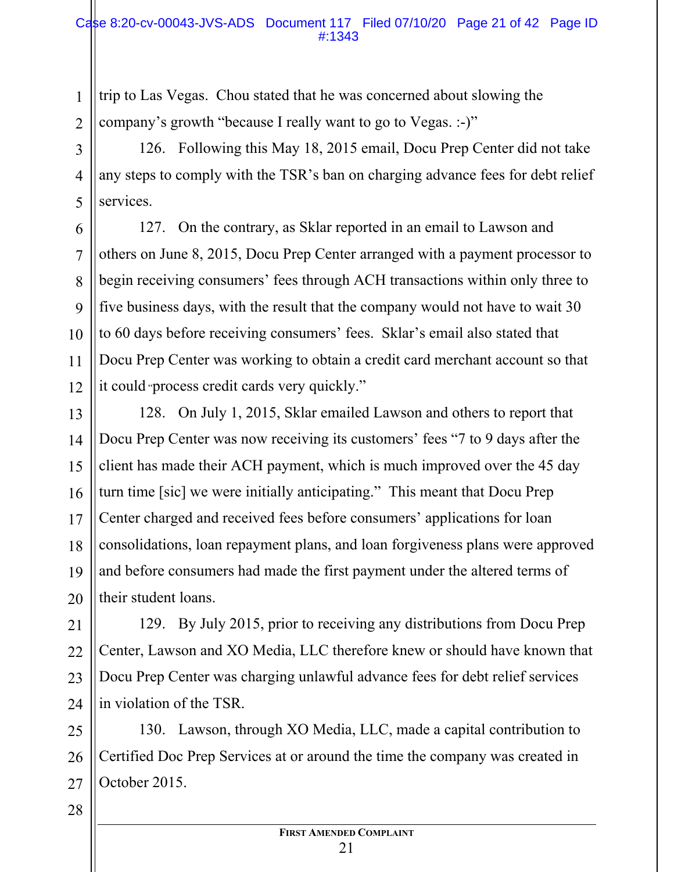trip to Las Vegas. Chou stated that he was concerned about slowing the company's growth "because I really want to go to Vegas. :-)"

126. Following this May 18, 2015 email, Docu Prep Center did not take any steps to comply with the TSR's ban on charging advance fees for debt relief services.

127. On the contrary, as Sklar reported in an email to Lawson and others on June 8, 2015, Docu Prep Center arranged with a payment processor to begin receiving consumers' fees through ACH transactions within only three to five business days, with the result that the company would not have to wait 30 to 60 days before receiving consumers' fees. Sklar's email also stated that Docu Prep Center was working to obtain a credit card merchant account so that it could "process credit cards very quickly."

128. On July 1, 2015, Sklar emailed Lawson and others to report that Docu Prep Center was now receiving its customers' fees "7 to 9 days after the client has made their ACH payment, which is much improved over the 45 day turn time [sic] we were initially anticipating." This meant that Docu Prep Center charged and received fees before consumers' applications for loan consolidations, loan repayment plans, and loan forgiveness plans were approved and before consumers had made the first payment under the altered terms of their student loans.

129. By July 2015, prior to receiving any distributions from Docu Prep Center, Lawson and XO Media, LLC therefore knew or should have known that Docu Prep Center was charging unlawful advance fees for debt relief services in violation of the TSR.

130. Lawson, through XO Media, LLC, made a capital contribution to Certified Doc Prep Services at or around the time the company was created in October 2015.

28

1

2

3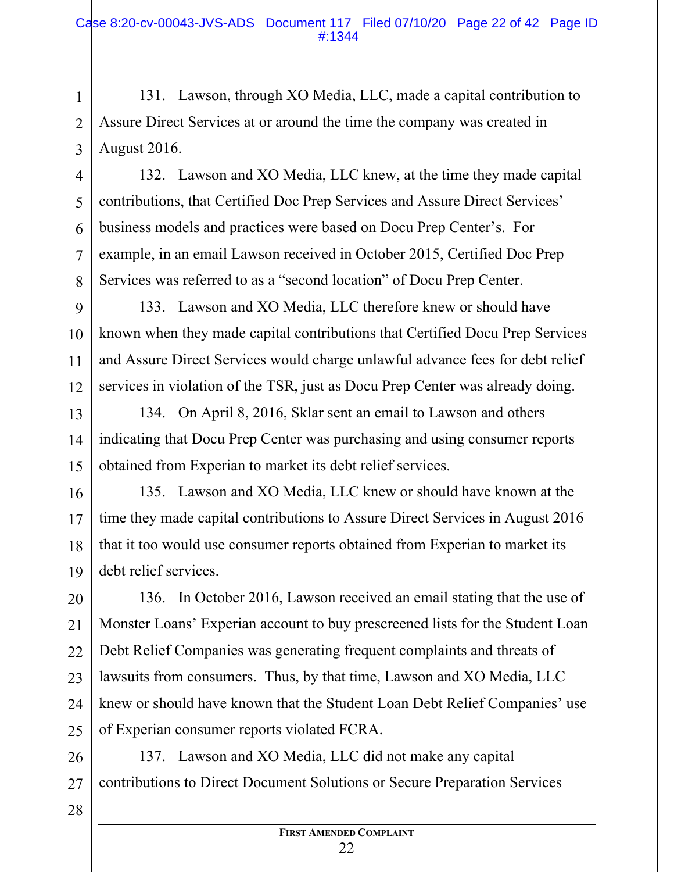131. Lawson, through XO Media, LLC, made a capital contribution to Assure Direct Services at or around the time the company was created in August 2016.

132. Lawson and XO Media, LLC knew, at the time they made capital contributions, that Certified Doc Prep Services and Assure Direct Services' business models and practices were based on Docu Prep Center's. For example, in an email Lawson received in October 2015, Certified Doc Prep Services was referred to as a "second location" of Docu Prep Center.

133. Lawson and XO Media, LLC therefore knew or should have known when they made capital contributions that Certified Docu Prep Services and Assure Direct Services would charge unlawful advance fees for debt relief services in violation of the TSR, just as Docu Prep Center was already doing.

134. On April 8, 2016, Sklar sent an email to Lawson and others indicating that Docu Prep Center was purchasing and using consumer reports obtained from Experian to market its debt relief services.

16 17 18 19 135. Lawson and XO Media, LLC knew or should have known at the time they made capital contributions to Assure Direct Services in August 2016 that it too would use consumer reports obtained from Experian to market its debt relief services.

20 21 22 23 24 25 136. In October 2016, Lawson received an email stating that the use of Monster Loans' Experian account to buy prescreened lists for the Student Loan Debt Relief Companies was generating frequent complaints and threats of lawsuits from consumers. Thus, by that time, Lawson and XO Media, LLC knew or should have known that the Student Loan Debt Relief Companies' use of Experian consumer reports violated FCRA.

26 27 137. Lawson and XO Media, LLC did not make any capital contributions to Direct Document Solutions or Secure Preparation Services

1

2

3

4

5

6

7

8

9

10

11

12

13

14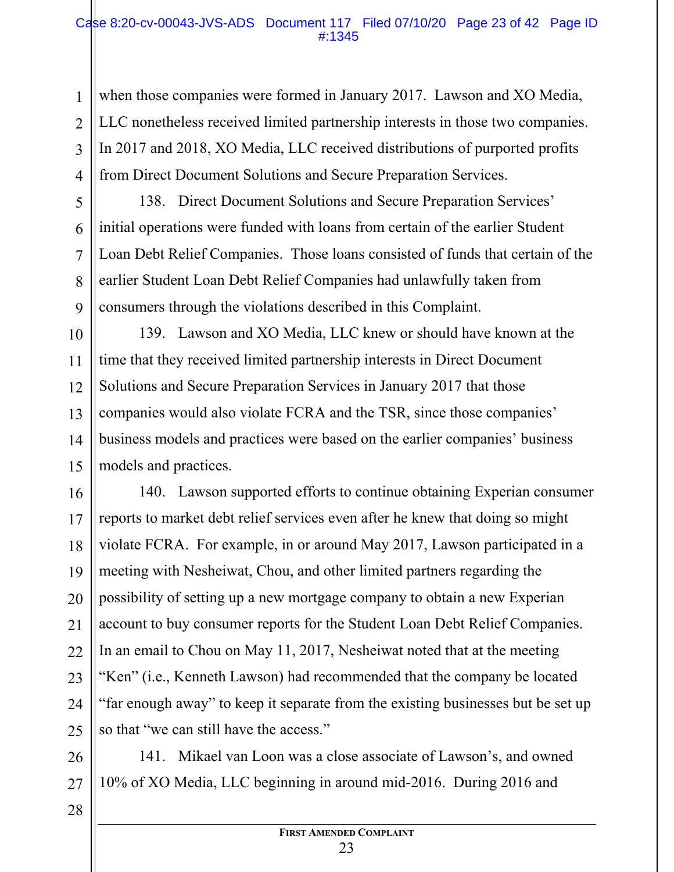#### Case 8:20-cv-00043-JVS-ADS Document 117 Filed 07/10/20 Page 23 of 42 Page ID #:1345

when those companies were formed in January 2017. Lawson and XO Media, LLC nonetheless received limited partnership interests in those two companies. In 2017 and 2018, XO Media, LLC received distributions of purported profits from Direct Document Solutions and Secure Preparation Services.

138. Direct Document Solutions and Secure Preparation Services' initial operations were funded with loans from certain of the earlier Student Loan Debt Relief Companies. Those loans consisted of funds that certain of the earlier Student Loan Debt Relief Companies had unlawfully taken from consumers through the violations described in this Complaint.

10 11 12 13 14 15 139. Lawson and XO Media, LLC knew or should have known at the time that they received limited partnership interests in Direct Document Solutions and Secure Preparation Services in January 2017 that those companies would also violate FCRA and the TSR, since those companies' business models and practices were based on the earlier companies' business models and practices.

16 17 18 19 20 21 22 23 24 25 140. Lawson supported efforts to continue obtaining Experian consumer reports to market debt relief services even after he knew that doing so might violate FCRA. For example, in or around May 2017, Lawson participated in a meeting with Nesheiwat, Chou, and other limited partners regarding the possibility of setting up a new mortgage company to obtain a new Experian account to buy consumer reports for the Student Loan Debt Relief Companies. In an email to Chou on May 11, 2017, Nesheiwat noted that at the meeting "Ken" (i.e., Kenneth Lawson) had recommended that the company be located "far enough away" to keep it separate from the existing businesses but be set up so that "we can still have the access."

26 27 141. Mikael van Loon was a close associate of Lawson's, and owned 10% of XO Media, LLC beginning in around mid-2016. During 2016 and

28

1

2

3

4

5

6

7

8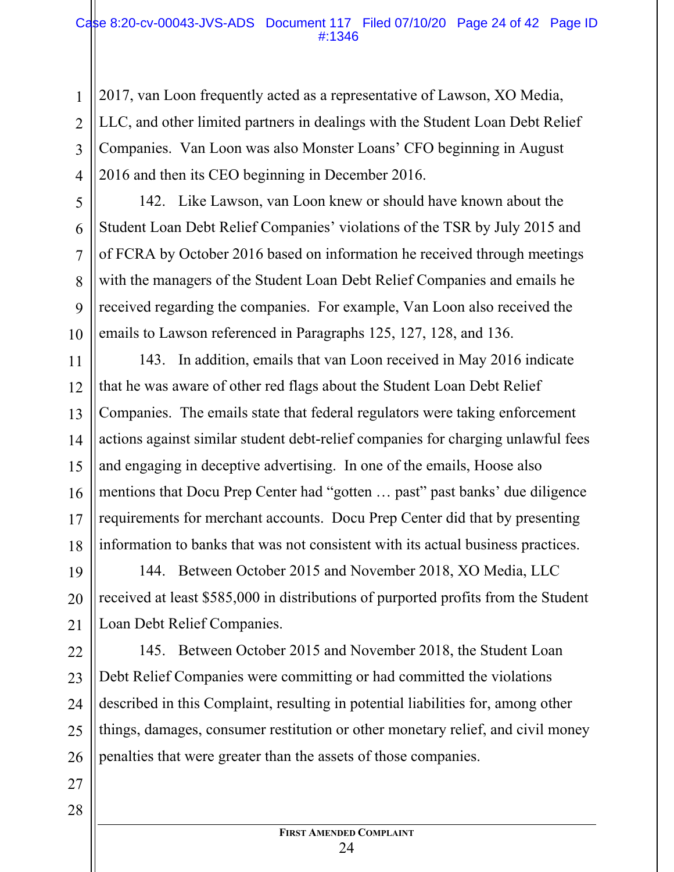2017, van Loon frequently acted as a representative of Lawson, XO Media, LLC, and other limited partners in dealings with the Student Loan Debt Relief Companies. Van Loon was also Monster Loans' CFO beginning in August 2016 and then its CEO beginning in December 2016.

142. Like Lawson, van Loon knew or should have known about the Student Loan Debt Relief Companies' violations of the TSR by July 2015 and of FCRA by October 2016 based on information he received through meetings with the managers of the Student Loan Debt Relief Companies and emails he received regarding the companies. For example, Van Loon also received the emails to Lawson referenced in Paragraphs 125, 127, 128, and 136.

11 12 13 14 15 16 17 18 143. In addition, emails that van Loon received in May 2016 indicate that he was aware of other red flags about the Student Loan Debt Relief Companies. The emails state that federal regulators were taking enforcement actions against similar student debt-relief companies for charging unlawful fees and engaging in deceptive advertising. In one of the emails, Hoose also mentions that Docu Prep Center had "gotten … past" past banks' due diligence requirements for merchant accounts. Docu Prep Center did that by presenting information to banks that was not consistent with its actual business practices.

19 20 21 144. Between October 2015 and November 2018, XO Media, LLC received at least \$585,000 in distributions of purported profits from the Student Loan Debt Relief Companies.

22 23 24 25 26 145. Between October 2015 and November 2018, the Student Loan Debt Relief Companies were committing or had committed the violations described in this Complaint, resulting in potential liabilities for, among other things, damages, consumer restitution or other monetary relief, and civil money penalties that were greater than the assets of those companies.

27

1

2

3

4

5

6

7

8

9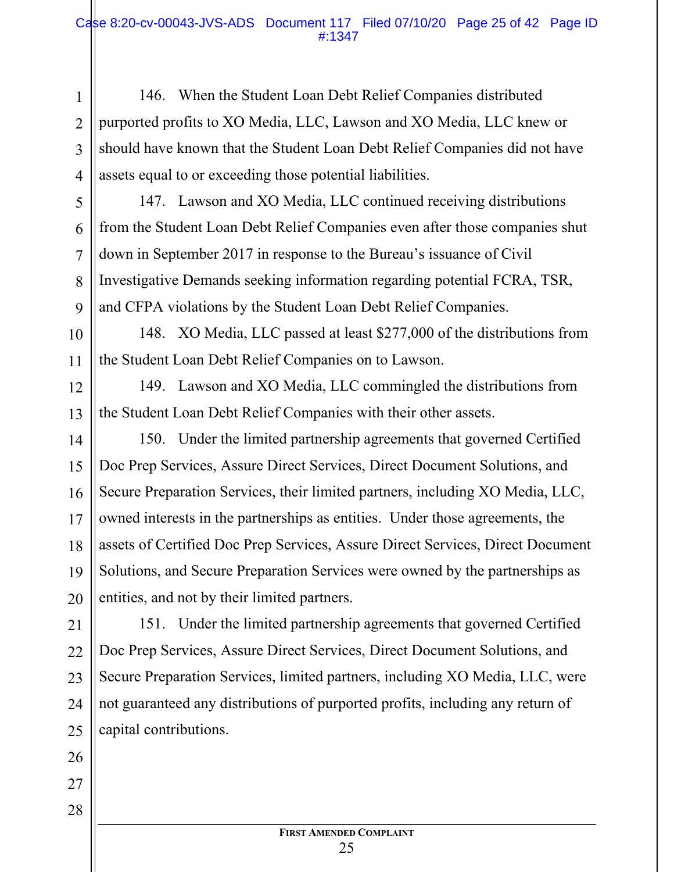146. When the Student Loan Debt Relief Companies distributed purported profits to XO Media, LLC, Lawson and XO Media, LLC knew or should have known that the Student Loan Debt Relief Companies did not have assets equal to or exceeding those potential liabilities.

147. Lawson and XO Media, LLC continued receiving distributions from the Student Loan Debt Relief Companies even after those companies shut down in September 2017 in response to the Bureau's issuance of Civil Investigative Demands seeking information regarding potential FCRA, TSR, and CFPA violations by the Student Loan Debt Relief Companies.

148. XO Media, LLC passed at least \$277,000 of the distributions from the Student Loan Debt Relief Companies on to Lawson.

149. Lawson and XO Media, LLC commingled the distributions from the Student Loan Debt Relief Companies with their other assets.

150. Under the limited partnership agreements that governed Certified Doc Prep Services, Assure Direct Services, Direct Document Solutions, and Secure Preparation Services, their limited partners, including XO Media, LLC, owned interests in the partnerships as entities. Under those agreements, the assets of Certified Doc Prep Services, Assure Direct Services, Direct Document Solutions, and Secure Preparation Services were owned by the partnerships as entities, and not by their limited partners.

151. Under the limited partnership agreements that governed Certified Doc Prep Services, Assure Direct Services, Direct Document Solutions, and Secure Preparation Services, limited partners, including XO Media, LLC, were not guaranteed any distributions of purported profits, including any return of capital contributions.

1

2

3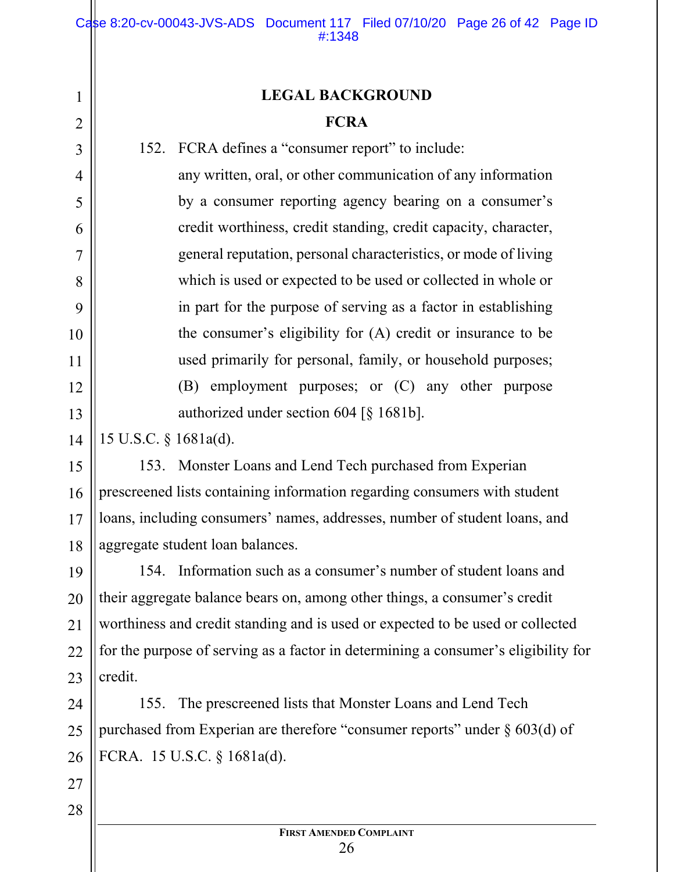## **LEGAL BACKGROUND FCRA**

152. FCRA defines a "consumer report" to include:

any written, oral, or other communication of any information by a consumer reporting agency bearing on a consumer's credit worthiness, credit standing, credit capacity, character, general reputation, personal characteristics, or mode of living which is used or expected to be used or collected in whole or in part for the purpose of serving as a factor in establishing the consumer's eligibility for (A) credit or insurance to be used primarily for personal, family, or household purposes; (B) employment purposes; or (C) any other purpose authorized under section 604 [§ 1681b].

15 U.S.C. § 1681a(d).

15 16 17 18 153. Monster Loans and Lend Tech purchased from Experian prescreened lists containing information regarding consumers with student loans, including consumers' names, addresses, number of student loans, and aggregate student loan balances.

19 20 21 22 23 154. Information such as a consumer's number of student loans and their aggregate balance bears on, among other things, a consumer's credit worthiness and credit standing and is used or expected to be used or collected for the purpose of serving as a factor in determining a consumer's eligibility for credit.

24 25 26 155. The prescreened lists that Monster Loans and Lend Tech purchased from Experian are therefore "consumer reports" under  $\S$  603(d) of FCRA. 15 U.S.C. § 1681a(d).

28

27

1

2

3

4

5

6

7

8

9

10

11

12

13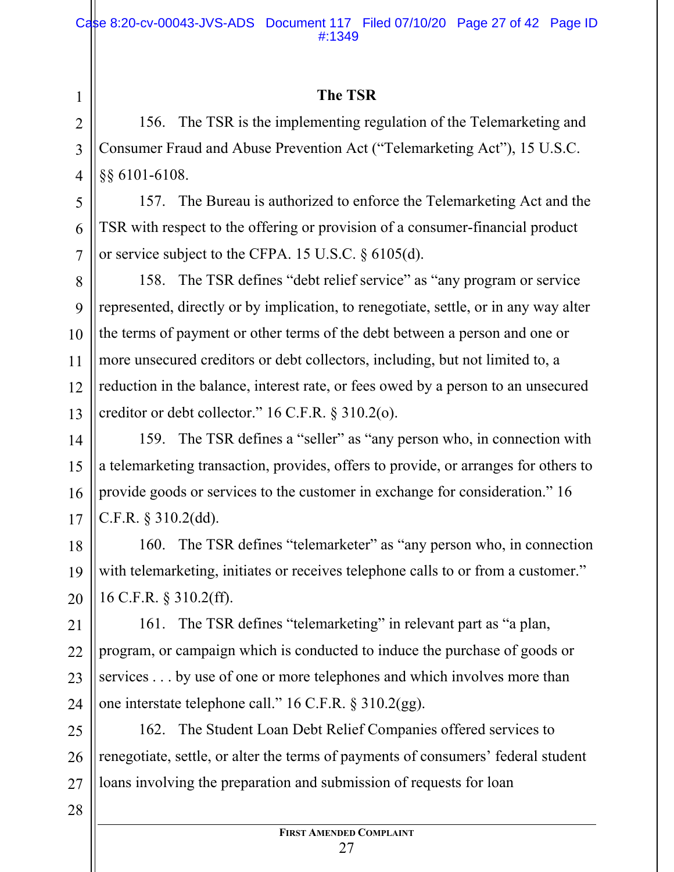## **The TSR**

156. The TSR is the implementing regulation of the Telemarketing and Consumer Fraud and Abuse Prevention Act ("Telemarketing Act"), 15 U.S.C. §§ 6101-6108.

157. The Bureau is authorized to enforce the Telemarketing Act and the TSR with respect to the offering or provision of a consumer-financial product or service subject to the CFPA. 15 U.S.C. § 6105(d).

8 10 12 13 158. The TSR defines "debt relief service" as "any program or service represented, directly or by implication, to renegotiate, settle, or in any way alter the terms of payment or other terms of the debt between a person and one or more unsecured creditors or debt collectors, including, but not limited to, a reduction in the balance, interest rate, or fees owed by a person to an unsecured creditor or debt collector." 16 C.F.R. § 310.2(o).

159. The TSR defines a "seller" as "any person who, in connection with a telemarketing transaction, provides, offers to provide, or arranges for others to provide goods or services to the customer in exchange for consideration." 16 C.F.R. § 310.2(dd).

160. The TSR defines "telemarketer" as "any person who, in connection with telemarketing, initiates or receives telephone calls to or from a customer." 16 C.F.R. § 310.2(ff).

21 22 23 24 161. The TSR defines "telemarketing" in relevant part as "a plan, program, or campaign which is conducted to induce the purchase of goods or services . . . by use of one or more telephones and which involves more than one interstate telephone call." 16 C.F.R. § 310.2(gg).

25 26 27 162. The Student Loan Debt Relief Companies offered services to renegotiate, settle, or alter the terms of payments of consumers' federal student loans involving the preparation and submission of requests for loan

1

2

3

4

5

6

7

9

11

14

15

16

17

18

19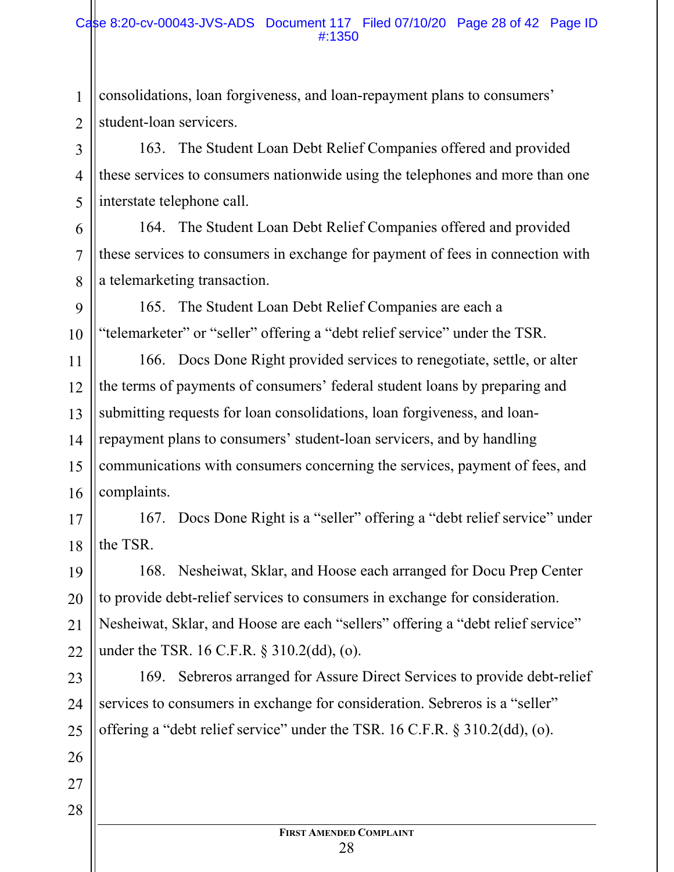#### Case 8:20-cv-00043-JVS-ADS Document 117 Filed 07/10/20 Page 28 of 42 Page ID #:1350

1 2 consolidations, loan forgiveness, and loan-repayment plans to consumers' student-loan servicers.

163. The Student Loan Debt Relief Companies offered and provided these services to consumers nationwide using the telephones and more than one interstate telephone call.

164. The Student Loan Debt Relief Companies offered and provided these services to consumers in exchange for payment of fees in connection with a telemarketing transaction.

9 165. The Student Loan Debt Relief Companies are each a "telemarketer" or "seller" offering a "debt relief service" under the TSR.

11 12 13 14 15 16 166. Docs Done Right provided services to renegotiate, settle, or alter the terms of payments of consumers' federal student loans by preparing and submitting requests for loan consolidations, loan forgiveness, and loanrepayment plans to consumers' student-loan servicers, and by handling communications with consumers concerning the services, payment of fees, and complaints.

17 18 167. Docs Done Right is a "seller" offering a "debt relief service" under the TSR.

19 20 21 22 168. Nesheiwat, Sklar, and Hoose each arranged for Docu Prep Center to provide debt-relief services to consumers in exchange for consideration. Nesheiwat, Sklar, and Hoose are each "sellers" offering a "debt relief service" under the TSR. 16 C.F.R. § 310.2(dd), (o).

23 24 25 169. Sebreros arranged for Assure Direct Services to provide debt-relief services to consumers in exchange for consideration. Sebreros is a "seller" offering a "debt relief service" under the TSR. 16 C.F.R. § 310.2(dd), (o).

27 28

26

3

4

5

6

7

8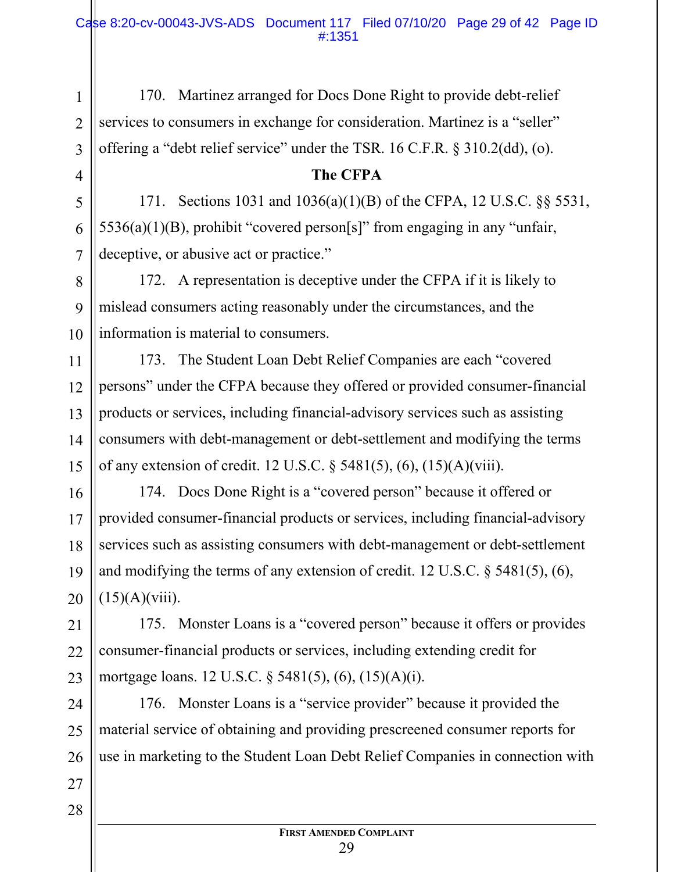170. Martinez arranged for Docs Done Right to provide debt-relief services to consumers in exchange for consideration. Martinez is a "seller" offering a "debt relief service" under the TSR. 16 C.F.R. § 310.2(dd), (o).

#### **The CFPA**

171. Sections 1031 and 1036(a)(1)(B) of the CFPA, 12 U.S.C. §§ 5531,  $5536(a)(1)(B)$ , prohibit "covered person[s]" from engaging in any "unfair, deceptive, or abusive act or practice."

172. A representation is deceptive under the CFPA if it is likely to mislead consumers acting reasonably under the circumstances, and the information is material to consumers.

11 12 13 14 15 173. The Student Loan Debt Relief Companies are each "covered persons" under the CFPA because they offered or provided consumer-financial products or services, including financial-advisory services such as assisting consumers with debt-management or debt-settlement and modifying the terms of any extension of credit. 12 U.S.C. § 5481(5), (6), (15)(A)(viii).

16 17 18 19 20 174. Docs Done Right is a "covered person" because it offered or provided consumer-financial products or services, including financial-advisory services such as assisting consumers with debt-management or debt-settlement and modifying the terms of any extension of credit. 12 U.S.C. § 5481(5), (6),  $(15)(A)(viii)$ .

21 22 23 175. Monster Loans is a "covered person" because it offers or provides consumer-financial products or services, including extending credit for mortgage loans. 12 U.S.C. § 5481(5), (6), (15)(A)(i).

24 25 26 176. Monster Loans is a "service provider" because it provided the material service of obtaining and providing prescreened consumer reports for use in marketing to the Student Loan Debt Relief Companies in connection with

27 28

1

2

3

4

5

6

7

8

9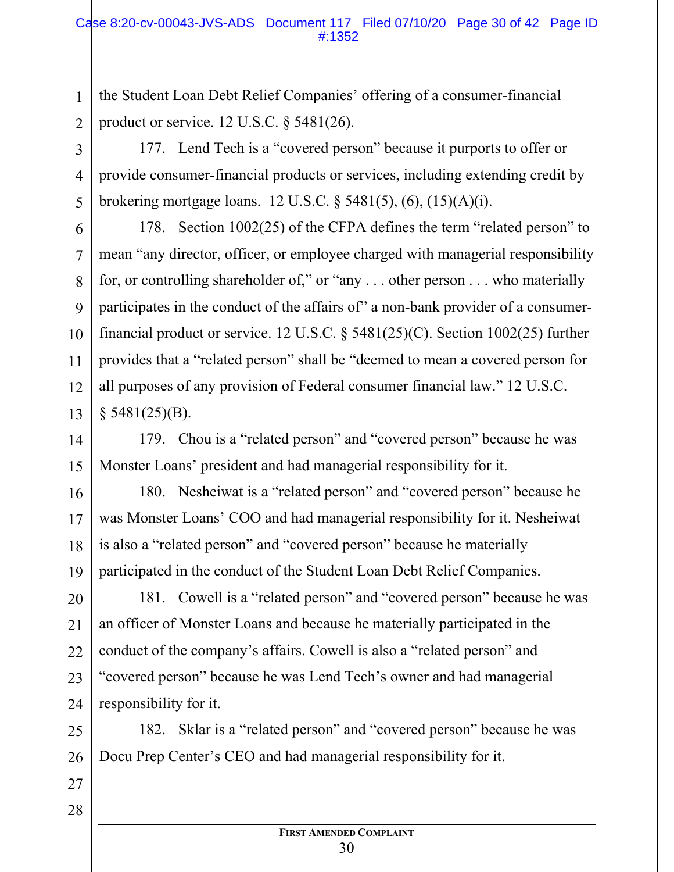the Student Loan Debt Relief Companies' offering of a consumer-financial product or service. 12 U.S.C. § 5481(26).

177. Lend Tech is a "covered person" because it purports to offer or provide consumer-financial products or services, including extending credit by brokering mortgage loans. 12 U.S.C. § 5481(5), (6), (15)(A)(i).

178. Section 1002(25) of the CFPA defines the term "related person" to mean "any director, officer, or employee charged with managerial responsibility for, or controlling shareholder of," or "any . . . other person . . . who materially participates in the conduct of the affairs of" a non-bank provider of a consumerfinancial product or service. 12 U.S.C. § 5481(25)(C). Section 1002(25) further provides that a "related person" shall be "deemed to mean a covered person for all purposes of any provision of Federal consumer financial law." 12 U.S.C.  $§$  5481(25)(B).

179. Chou is a "related person" and "covered person" because he was Monster Loans' president and had managerial responsibility for it.

180. Nesheiwat is a "related person" and "covered person" because he was Monster Loans' COO and had managerial responsibility for it. Nesheiwat is also a "related person" and "covered person" because he materially participated in the conduct of the Student Loan Debt Relief Companies.

20 21 22 181. Cowell is a "related person" and "covered person" because he was an officer of Monster Loans and because he materially participated in the conduct of the company's affairs. Cowell is also a "related person" and "covered person" because he was Lend Tech's owner and had managerial responsibility for it.

182. Sklar is a "related person" and "covered person" because he was Docu Prep Center's CEO and had managerial responsibility for it.

28

1

2

3

4

5

6

7

8

9

10

11

12

13

14

15

16

17

18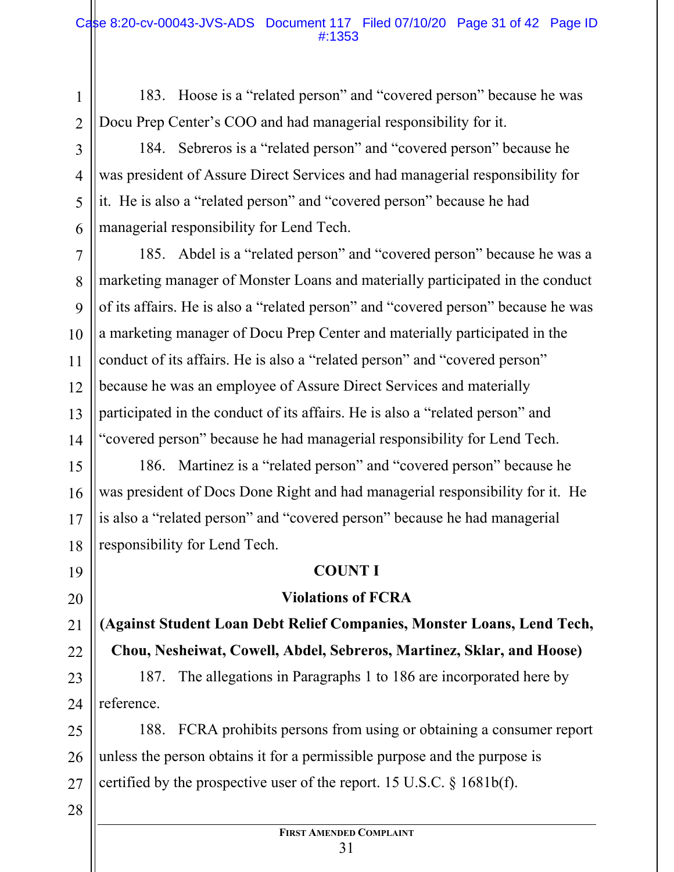183. Hoose is a "related person" and "covered person" because he was Docu Prep Center's COO and had managerial responsibility for it.

184. Sebreros is a "related person" and "covered person" because he was president of Assure Direct Services and had managerial responsibility for it. He is also a "related person" and "covered person" because he had managerial responsibility for Lend Tech.

14 185. Abdel is a "related person" and "covered person" because he was a marketing manager of Monster Loans and materially participated in the conduct of its affairs. He is also a "related person" and "covered person" because he was a marketing manager of Docu Prep Center and materially participated in the conduct of its affairs. He is also a "related person" and "covered person" because he was an employee of Assure Direct Services and materially participated in the conduct of its affairs. He is also a "related person" and "covered person" because he had managerial responsibility for Lend Tech.

15 16 17 186. Martinez is a "related person" and "covered person" because he was president of Docs Done Right and had managerial responsibility for it. He is also a "related person" and "covered person" because he had managerial responsibility for Lend Tech.

## **COUNT I**

## **Violations of FCRA**

**(Against Student Loan Debt Relief Companies, Monster Loans, Lend Tech, Chou, Nesheiwat, Cowell, Abdel, Sebreros, Martinez, Sklar, and Hoose)** 

187. The allegations in Paragraphs 1 to 186 are incorporated here by reference.

188. FCRA prohibits persons from using or obtaining a consumer report unless the person obtains it for a permissible purpose and the purpose is certified by the prospective user of the report. 15 U.S.C. § 1681b(f).

1

2

3

4

5

6

7

8

9

10

11

12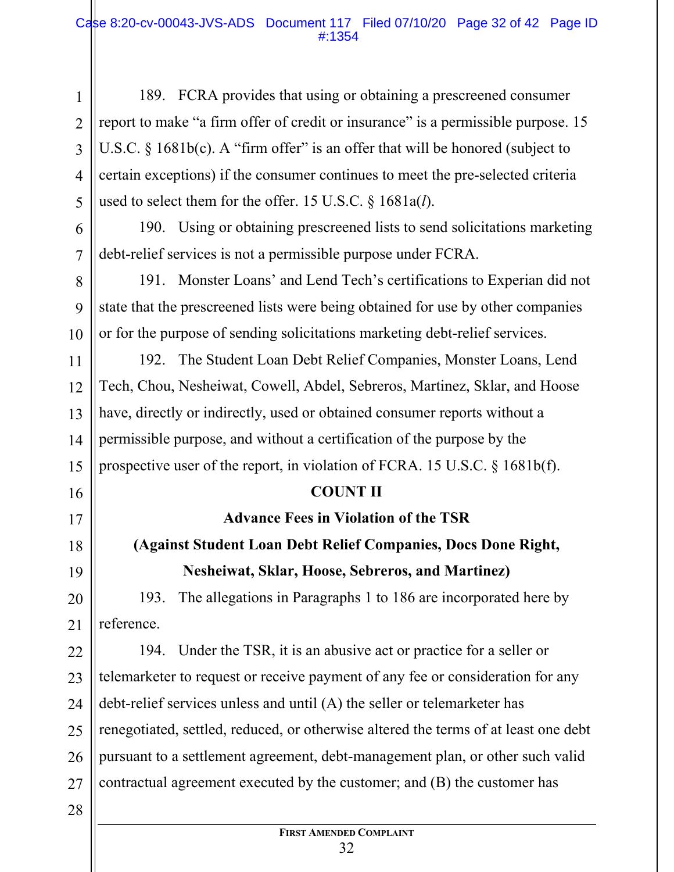189. FCRA provides that using or obtaining a prescreened consumer report to make "a firm offer of credit or insurance" is a permissible purpose. 15 U.S.C.  $\S$  1681b(c). A "firm offer" is an offer that will be honored (subject to certain exceptions) if the consumer continues to meet the pre-selected criteria used to select them for the offer. 15 U.S.C. § 1681a(*l*).

190. Using or obtaining prescreened lists to send solicitations marketing debt-relief services is not a permissible purpose under FCRA.

191. Monster Loans' and Lend Tech's certifications to Experian did not state that the prescreened lists were being obtained for use by other companies or for the purpose of sending solicitations marketing debt-relief services.

192. The Student Loan Debt Relief Companies, Monster Loans, Lend Tech, Chou, Nesheiwat, Cowell, Abdel, Sebreros, Martinez, Sklar, and Hoose have, directly or indirectly, used or obtained consumer reports without a permissible purpose, and without a certification of the purpose by the prospective user of the report, in violation of FCRA. 15 U.S.C. § 1681b(f).

## **COUNT II**

**Advance Fees in Violation of the TSR (Against Student Loan Debt Relief Companies, Docs Done Right,** 

# **Nesheiwat, Sklar, Hoose, Sebreros, and Martinez)**

20 193. The allegations in Paragraphs 1 to 186 are incorporated here by reference.

22 23 24 25 26 27 194. Under the TSR, it is an abusive act or practice for a seller or telemarketer to request or receive payment of any fee or consideration for any debt-relief services unless and until (A) the seller or telemarketer has renegotiated, settled, reduced, or otherwise altered the terms of at least one debt pursuant to a settlement agreement, debt-management plan, or other such valid contractual agreement executed by the customer; and (B) the customer has

28

1

2

3

4

5

6

7

8

9

10

11

12

13

14

15

16

17

18

19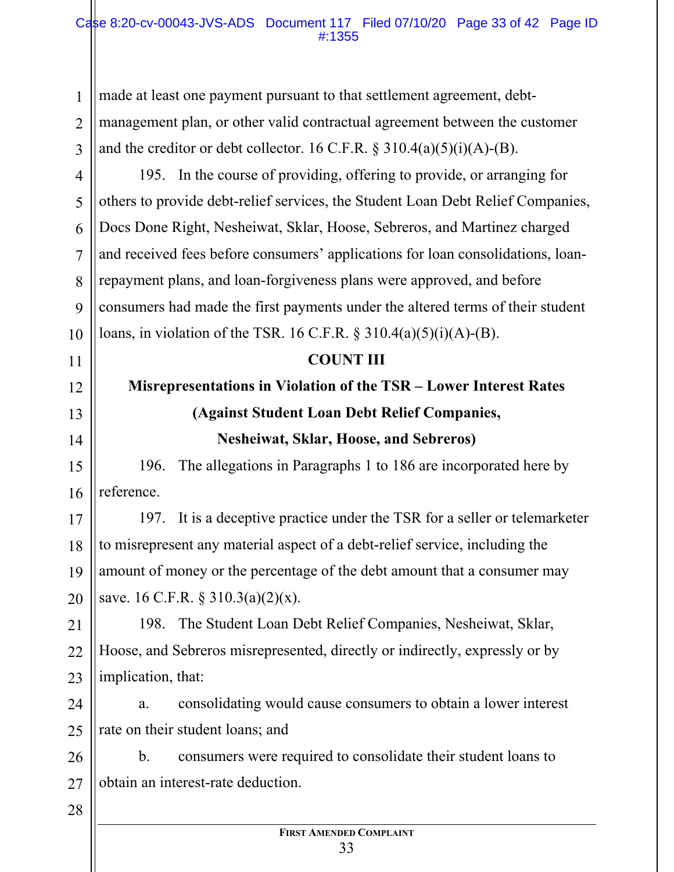made at least one payment pursuant to that settlement agreement, debtmanagement plan, or other valid contractual agreement between the customer and the creditor or debt collector. 16 C.F.R.  $\S 310.4(a)(5)(i)(A)$ -(B).

4 5 6 7 8 9 10 195. In the course of providing, offering to provide, or arranging for others to provide debt-relief services, the Student Loan Debt Relief Companies, Docs Done Right, Nesheiwat, Sklar, Hoose, Sebreros, and Martinez charged and received fees before consumers' applications for loan consolidations, loanrepayment plans, and loan-forgiveness plans were approved, and before consumers had made the first payments under the altered terms of their student loans, in violation of the TSR. 16 C.F.R. § 310.4(a)(5)(i)(A)-(B).

#### **COUNT III**

## **Misrepresentations in Violation of the TSR – Lower Interest Rates (Against Student Loan Debt Relief Companies, Nesheiwat, Sklar, Hoose, and Sebreros)**

196. The allegations in Paragraphs 1 to 186 are incorporated here by reference.

17 18 19 20 197. It is a deceptive practice under the TSR for a seller or telemarketer to misrepresent any material aspect of a debt-relief service, including the amount of money or the percentage of the debt amount that a consumer may save. 16 C.F.R. § 310.3(a)(2)(x).

21 22 23 198. The Student Loan Debt Relief Companies, Nesheiwat, Sklar, Hoose, and Sebreros misrepresented, directly or indirectly, expressly or by implication, that:

24 25 a. consolidating would cause consumers to obtain a lower interest rate on their student loans; and

26 27 b. consumers were required to consolidate their student loans to obtain an interest-rate deduction.

28

1

2

3

11

12

13

14

15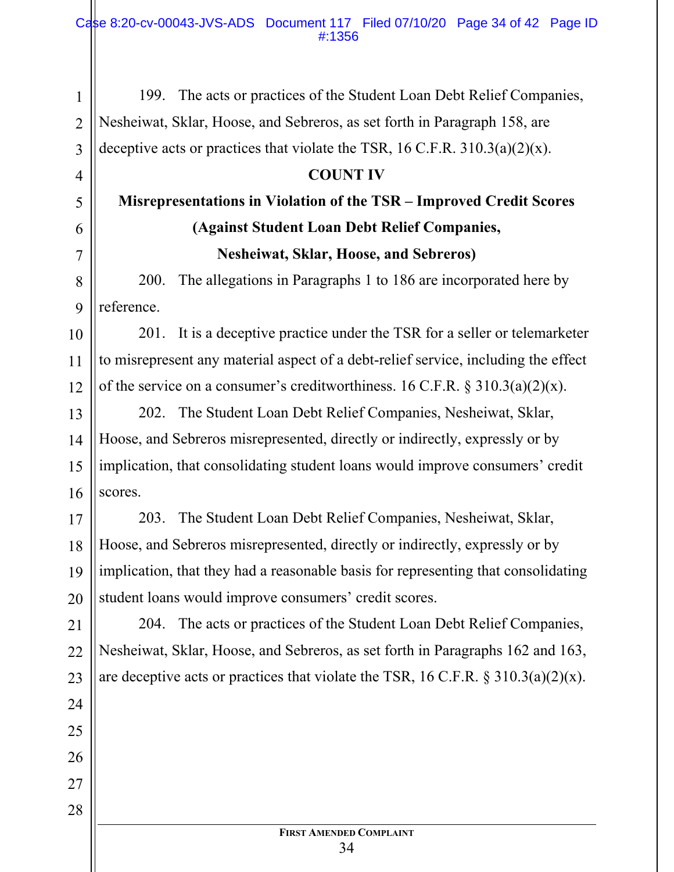199. The acts or practices of the Student Loan Debt Relief Companies, Nesheiwat, Sklar, Hoose, and Sebreros, as set forth in Paragraph 158, are deceptive acts or practices that violate the TSR, 16 C.F.R.  $310.3(a)(2)(x)$ .

1

2

3

4

5

6

7

8

9

11

24

25

26

27

28

## **COUNT IV**

## **Misrepresentations in Violation of the TSR – Improved Credit Scores (Against Student Loan Debt Relief Companies, Nesheiwat, Sklar, Hoose, and Sebreros)**

200. The allegations in Paragraphs 1 to 186 are incorporated here by reference.

10 12 201. It is a deceptive practice under the TSR for a seller or telemarketer to misrepresent any material aspect of a debt-relief service, including the effect of the service on a consumer's creditworthiness. 16 C.F.R.  $\S 310.3(a)(2)(x)$ .

13 14 15 16 202. The Student Loan Debt Relief Companies, Nesheiwat, Sklar, Hoose, and Sebreros misrepresented, directly or indirectly, expressly or by implication, that consolidating student loans would improve consumers' credit scores.

17 18 19 20 203. The Student Loan Debt Relief Companies, Nesheiwat, Sklar, Hoose, and Sebreros misrepresented, directly or indirectly, expressly or by implication, that they had a reasonable basis for representing that consolidating student loans would improve consumers' credit scores.

21 22 23 204. The acts or practices of the Student Loan Debt Relief Companies, Nesheiwat, Sklar, Hoose, and Sebreros, as set forth in Paragraphs 162 and 163, are deceptive acts or practices that violate the TSR, 16 C.F.R.  $\S 310.3(a)(2)(x)$ .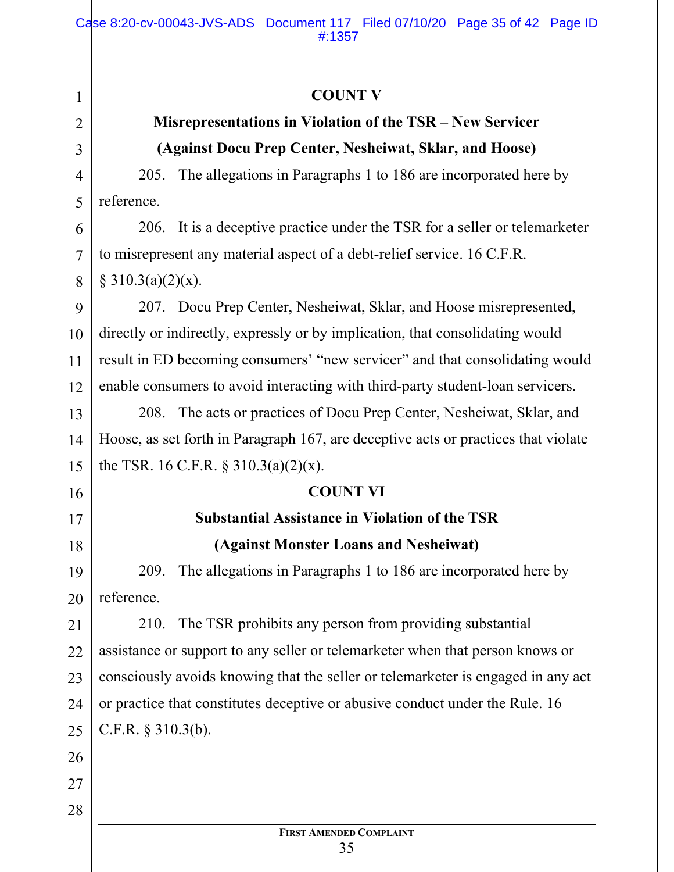## **COUNT V**

## **Misrepresentations in Violation of the TSR – New Servicer (Against Docu Prep Center, Nesheiwat, Sklar, and Hoose)**

205. The allegations in Paragraphs 1 to 186 are incorporated here by reference.

6 7 8 206. It is a deceptive practice under the TSR for a seller or telemarketer to misrepresent any material aspect of a debt-relief service. 16 C.F.R.  $§ 310.3(a)(2)(x).$ 

9 10 11 12 207. Docu Prep Center, Nesheiwat, Sklar, and Hoose misrepresented, directly or indirectly, expressly or by implication, that consolidating would result in ED becoming consumers' "new servicer" and that consolidating would enable consumers to avoid interacting with third-party student-loan servicers.

13 14 15 208. The acts or practices of Docu Prep Center, Nesheiwat, Sklar, and Hoose, as set forth in Paragraph 167, are deceptive acts or practices that violate the TSR. 16 C.F.R.  $\S 310.3(a)(2)(x)$ .

## **COUNT VI**

## **Substantial Assistance in Violation of the TSR (Against Monster Loans and Nesheiwat)**

19 20 209. The allegations in Paragraphs 1 to 186 are incorporated here by reference.

21 22 23 24 25 210. The TSR prohibits any person from providing substantial assistance or support to any seller or telemarketer when that person knows or consciously avoids knowing that the seller or telemarketer is engaged in any act or practice that constitutes deceptive or abusive conduct under the Rule. 16 C.F.R. § 310.3(b).

1

2

3

4

5

16

17

18

26

27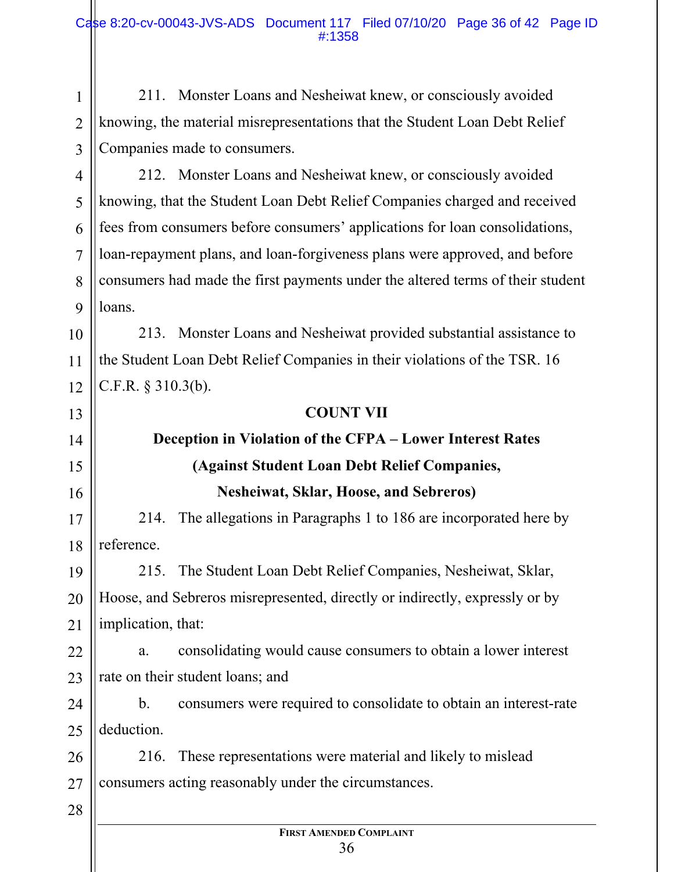1 2 3 211. Monster Loans and Nesheiwat knew, or consciously avoided knowing, the material misrepresentations that the Student Loan Debt Relief Companies made to consumers.

4 6 7 8 9 212. Monster Loans and Nesheiwat knew, or consciously avoided knowing, that the Student Loan Debt Relief Companies charged and received fees from consumers before consumers' applications for loan consolidations, loan-repayment plans, and loan-forgiveness plans were approved, and before consumers had made the first payments under the altered terms of their student loans.

10 11 12 213. Monster Loans and Nesheiwat provided substantial assistance to the Student Loan Debt Relief Companies in their violations of the TSR. 16 C.F.R. § 310.3(b).

#### **COUNT VII**

## **Deception in Violation of the CFPA – Lower Interest Rates (Against Student Loan Debt Relief Companies, Nesheiwat, Sklar, Hoose, and Sebreros)**

17 18 214. The allegations in Paragraphs 1 to 186 are incorporated here by reference.

19 20 21 215. The Student Loan Debt Relief Companies, Nesheiwat, Sklar, Hoose, and Sebreros misrepresented, directly or indirectly, expressly or by implication, that:

22 23 a. consolidating would cause consumers to obtain a lower interest rate on their student loans; and

24 25 b. consumers were required to consolidate to obtain an interest-rate deduction.

26 27 216. These representations were material and likely to mislead consumers acting reasonably under the circumstances.

28

5

13

14

15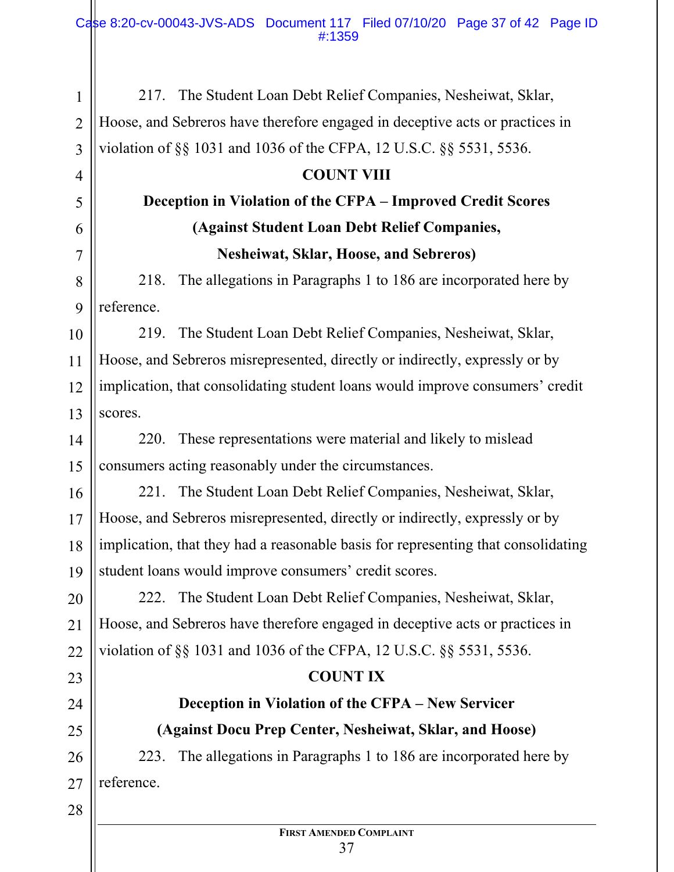1 2 3 217. The Student Loan Debt Relief Companies, Nesheiwat, Sklar, Hoose, and Sebreros have therefore engaged in deceptive acts or practices in violation of §§ 1031 and 1036 of the CFPA, 12 U.S.C. §§ 5531, 5536.

### **COUNT VIII**

## **Deception in Violation of the CFPA – Improved Credit Scores (Against Student Loan Debt Relief Companies, Nesheiwat, Sklar, Hoose, and Sebreros)**

218. The allegations in Paragraphs 1 to 186 are incorporated here by reference.

10 11 12 13 219. The Student Loan Debt Relief Companies, Nesheiwat, Sklar, Hoose, and Sebreros misrepresented, directly or indirectly, expressly or by implication, that consolidating student loans would improve consumers' credit scores.

14 15 220. These representations were material and likely to mislead consumers acting reasonably under the circumstances.

16 17 18 19 221. The Student Loan Debt Relief Companies, Nesheiwat, Sklar, Hoose, and Sebreros misrepresented, directly or indirectly, expressly or by implication, that they had a reasonable basis for representing that consolidating student loans would improve consumers' credit scores.

20 21 22 222. The Student Loan Debt Relief Companies, Nesheiwat, Sklar, Hoose, and Sebreros have therefore engaged in deceptive acts or practices in violation of §§ 1031 and 1036 of the CFPA, 12 U.S.C. §§ 5531, 5536.

## **COUNT IX**

## **Deception in Violation of the CFPA – New Servicer (Against Docu Prep Center, Nesheiwat, Sklar, and Hoose)**

223. The allegations in Paragraphs 1 to 186 are incorporated here by reference.

23

24

25

26

27

4

5

6

7

8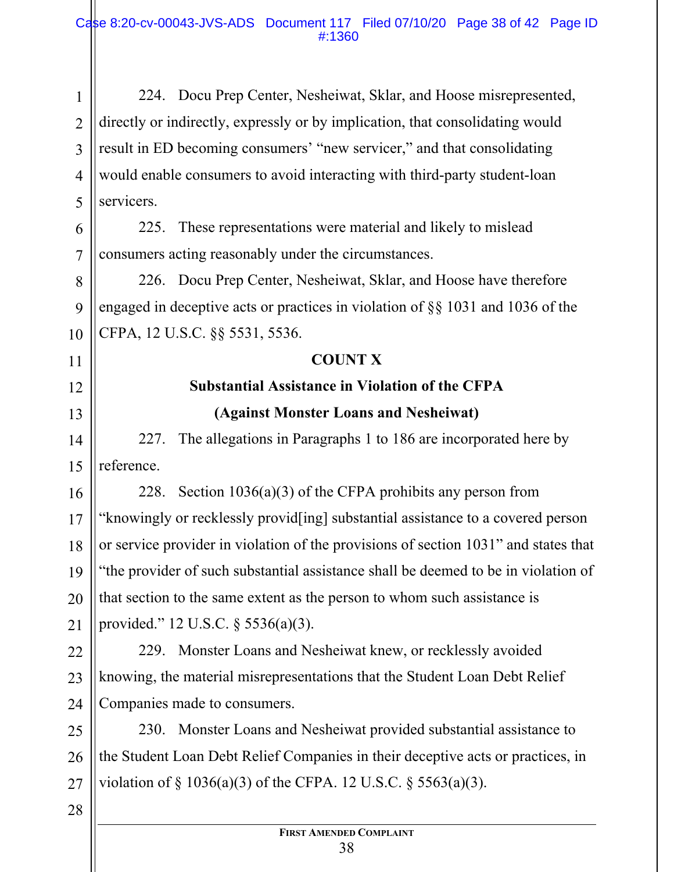1 2 3 4 5 224. Docu Prep Center, Nesheiwat, Sklar, and Hoose misrepresented, directly or indirectly, expressly or by implication, that consolidating would result in ED becoming consumers' "new servicer," and that consolidating would enable consumers to avoid interacting with third-party student-loan servicers.

6 7 225. These representations were material and likely to mislead consumers acting reasonably under the circumstances.

226. Docu Prep Center, Nesheiwat, Sklar, and Hoose have therefore engaged in deceptive acts or practices in violation of §§ 1031 and 1036 of the CFPA, 12 U.S.C. §§ 5531, 5536.

## **COUNT X**

## **Substantial Assistance in Violation of the CFPA (Against Monster Loans and Nesheiwat)**

227. The allegations in Paragraphs 1 to 186 are incorporated here by reference.

16 17 18 19 20 21 228. Section 1036(a)(3) of the CFPA prohibits any person from "knowingly or recklessly provid[ing] substantial assistance to a covered person or service provider in violation of the provisions of section 1031" and states that "the provider of such substantial assistance shall be deemed to be in violation of that section to the same extent as the person to whom such assistance is provided." 12 U.S.C. § 5536(a)(3).

22 23 24 229. Monster Loans and Nesheiwat knew, or recklessly avoided knowing, the material misrepresentations that the Student Loan Debt Relief Companies made to consumers.

25 26 27 230. Monster Loans and Nesheiwat provided substantial assistance to the Student Loan Debt Relief Companies in their deceptive acts or practices, in violation of § 1036(a)(3) of the CFPA. 12 U.S.C. § 5563(a)(3).

28

8

9

10

11

12

13

14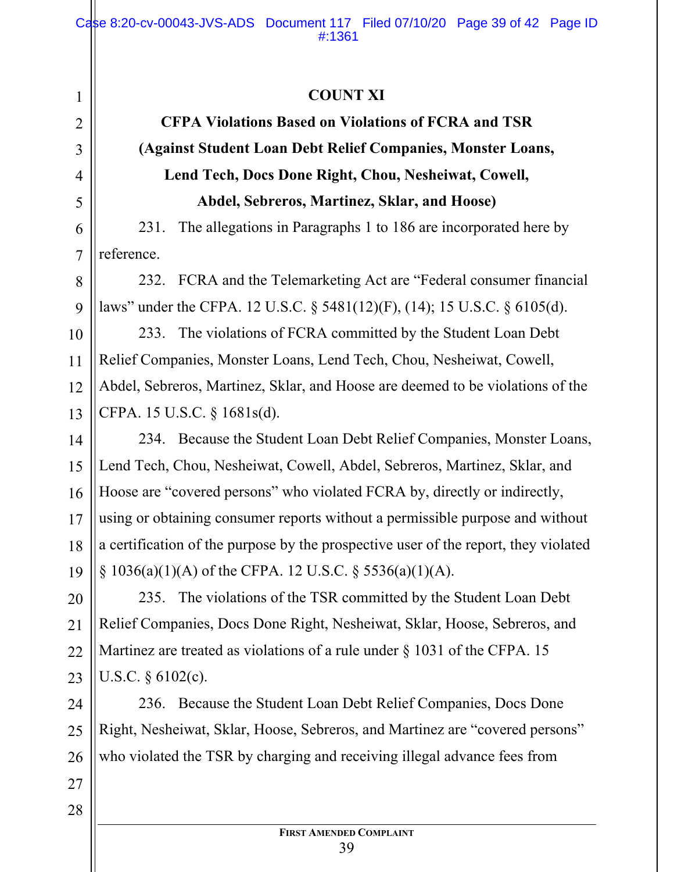## **COUNT XI**

## **CFPA Violations Based on Violations of FCRA and TSR (Against Student Loan Debt Relief Companies, Monster Loans, Lend Tech, Docs Done Right, Chou, Nesheiwat, Cowell, Abdel, Sebreros, Martinez, Sklar, and Hoose)**

231. The allegations in Paragraphs 1 to 186 are incorporated here by reference.

232. FCRA and the Telemarketing Act are "Federal consumer financial laws" under the CFPA. 12 U.S.C. § 5481(12)(F), (14); 15 U.S.C. § 6105(d).

233. The violations of FCRA committed by the Student Loan Debt Relief Companies, Monster Loans, Lend Tech, Chou, Nesheiwat, Cowell, Abdel, Sebreros, Martinez, Sklar, and Hoose are deemed to be violations of the CFPA. 15 U.S.C. § 1681s(d).

14 15 18 19 234. Because the Student Loan Debt Relief Companies, Monster Loans, Lend Tech, Chou, Nesheiwat, Cowell, Abdel, Sebreros, Martinez, Sklar, and Hoose are "covered persons" who violated FCRA by, directly or indirectly, using or obtaining consumer reports without a permissible purpose and without a certification of the purpose by the prospective user of the report, they violated  $\S$  1036(a)(1)(A) of the CFPA. 12 U.S.C.  $\S$  5536(a)(1)(A).

20 21 22 23 235. The violations of the TSR committed by the Student Loan Debt Relief Companies, Docs Done Right, Nesheiwat, Sklar, Hoose, Sebreros, and Martinez are treated as violations of a rule under § 1031 of the CFPA. 15 U.S.C. § 6102(c).

24 25 26 236. Because the Student Loan Debt Relief Companies, Docs Done Right, Nesheiwat, Sklar, Hoose, Sebreros, and Martinez are "covered persons" who violated the TSR by charging and receiving illegal advance fees from

27 28

1

2

3

4

5

6

7

8

9

10

11

12

13

16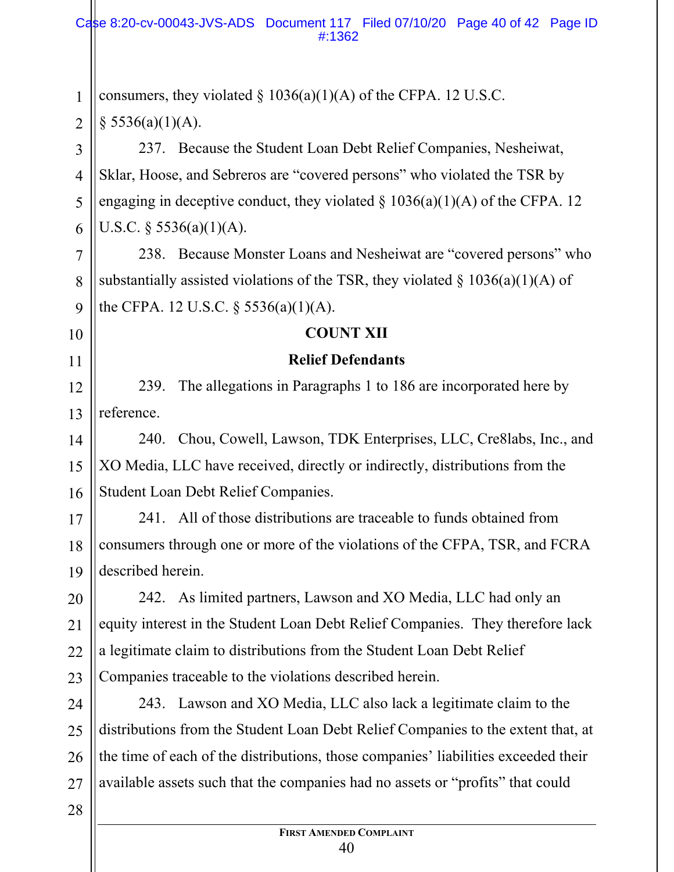1 2 3 4 5 6 7 8 9 10 11 12 13 14 15 16 17 18 19 20 21 22 23 24 25 26 27 28 consumers, they violated  $\S 1036(a)(1)(A)$  of the CFPA. 12 U.S.C.  $§$  5536(a)(1)(A). 237. Because the Student Loan Debt Relief Companies, Nesheiwat, Sklar, Hoose, and Sebreros are "covered persons" who violated the TSR by engaging in deceptive conduct, they violated  $\S$  1036(a)(1)(A) of the CFPA. 12 U.S.C. § 5536(a)(1)(A). 238. Because Monster Loans and Nesheiwat are "covered persons" who substantially assisted violations of the TSR, they violated  $\S$  1036(a)(1)(A) of the CFPA. 12 U.S.C. § 5536(a)(1)(A). **COUNT XII Relief Defendants** 239. The allegations in Paragraphs 1 to 186 are incorporated here by reference. 240. Chou, Cowell, Lawson, TDK Enterprises, LLC, Cre8labs, Inc., and XO Media, LLC have received, directly or indirectly, distributions from the Student Loan Debt Relief Companies. 241. All of those distributions are traceable to funds obtained from consumers through one or more of the violations of the CFPA, TSR, and FCRA described herein. 242. As limited partners, Lawson and XO Media, LLC had only an equity interest in the Student Loan Debt Relief Companies. They therefore lack a legitimate claim to distributions from the Student Loan Debt Relief Companies traceable to the violations described herein. 243. Lawson and XO Media, LLC also lack a legitimate claim to the distributions from the Student Loan Debt Relief Companies to the extent that, at the time of each of the distributions, those companies' liabilities exceeded their available assets such that the companies had no assets or "profits" that could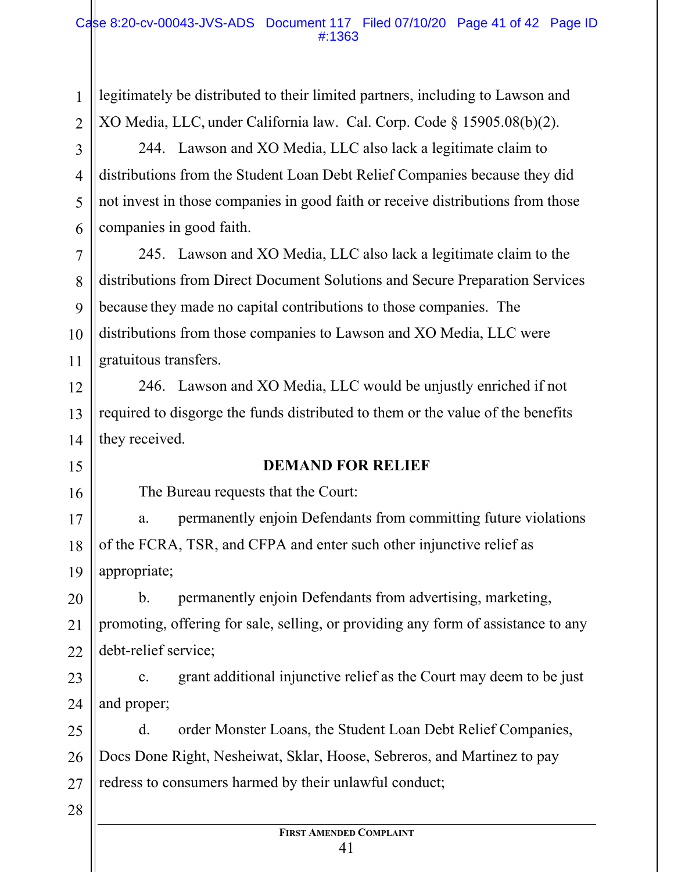legitimately be distributed to their limited partners, including to Lawson and XO Media, LLC, under California law. Cal. Corp. Code § 15905.08(b)(2).

244. Lawson and XO Media, LLC also lack a legitimate claim to distributions from the Student Loan Debt Relief Companies because they did not invest in those companies in good faith or receive distributions from those companies in good faith.

7 8 9 10 11 245. Lawson and XO Media, LLC also lack a legitimate claim to the distributions from Direct Document Solutions and Secure Preparation Services because they made no capital contributions to those companies. The distributions from those companies to Lawson and XO Media, LLC were gratuitous transfers.

246. Lawson and XO Media, LLC would be unjustly enriched if not required to disgorge the funds distributed to them or the value of the benefits they received.

## **DEMAND FOR RELIEF**

The Bureau requests that the Court:

17 18 19 a. permanently enjoin Defendants from committing future violations of the FCRA, TSR, and CFPA and enter such other injunctive relief as appropriate;

20 21 22 b. permanently enjoin Defendants from advertising, marketing, promoting, offering for sale, selling, or providing any form of assistance to any debt-relief service;

23 24 c. grant additional injunctive relief as the Court may deem to be just and proper;

25 26 27 d. order Monster Loans, the Student Loan Debt Relief Companies, Docs Done Right, Nesheiwat, Sklar, Hoose, Sebreros, and Martinez to pay redress to consumers harmed by their unlawful conduct;

#### 28

1

2

3

4

5

6

12

13

14

15

16

#### **FIRST AMENDED COMPLAINT** 41